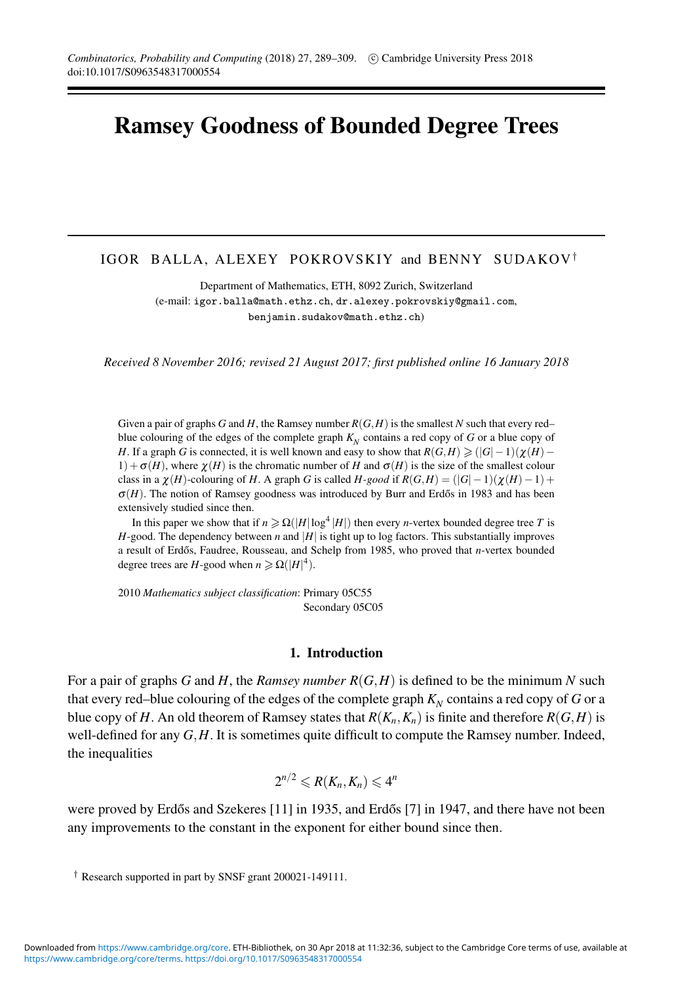# **Ramsey Goodness of Bounded Degree Trees**

# IGOR BALLA, ALEXEY POKROVSKIY and BENNY SUDAKOV†

Department of Mathematics, ETH, 8092 Zurich, Switzerland (e-mail: igor.balla@math.ethz.ch, dr.alexey.pokrovskiy@gmail.com, benjamin.sudakov@math.ethz.ch)

*Received 8 November 2016; revised 21 August 2017; first published online 16 January 2018*

Given a pair of graphs *G* and *H*, the Ramsey number *R*(*G*,*H*) is the smallest *N* such that every red– blue colouring of the edges of the complete graph  $K<sub>N</sub>$  contains a red copy of *G* or a blue copy of *H*. If a graph *G* is connected, it is well known and easy to show that  $R(G,H) \geq (|G|-1)(\chi(H)-1)$  $1) + \sigma(H)$ , where  $\chi(H)$  is the chromatic number of *H* and  $\sigma(H)$  is the size of the smallest colour class in a  $\chi(H)$ -colouring of *H*. A graph *G* is called *H-good* if  $R(G,H) = (|G| - 1)(\chi(H) - 1) +$  $\sigma(H)$ . The notion of Ramsey goodness was introduced by Burr and Erdős in 1983 and has been extensively studied since then.

In this paper we show that if  $n \geq \Omega(|H| \log^4 |H|)$  then every *n*-vertex bounded degree tree *T* is  $H$ -good. The dependency between  $n$  and  $|H|$  is tight up to log factors. This substantially improves a result of Erdős, Faudree, Rousseau, and Schelp from 1985, who proved that *n*-vertex bounded degree trees are *H*-good when  $n \ge \Omega(|H|^4)$ .

2010 *Mathematics subject classification*: Primary 05C55 Secondary 05C05

#### **1. Introduction**

For a pair of graphs *G* and *H*, the *Ramsey number R*(*G*,*H*) is defined to be the minimum *N* such that every red–blue colouring of the edges of the complete graph  $K_N$  contains a red copy of *G* or a blue copy of *H*. An old theorem of Ramsey states that  $R(K_n, K_n)$  is finite and therefore  $R(G, H)$  is well-defined for any *G*,*H*. It is sometimes quite difficult to compute the Ramsey number. Indeed, the inequalities

$$
2^{n/2} \leqslant R(K_n, K_n) \leqslant 4^n
$$

were proved by Erdős and Szekeres  $[11]$  in 1935, and Erdős  $[7]$  in 1947, and there have not been any improvements to the constant in the exponent for either bound since then.

<sup>†</sup> Research supported in part by SNSF grant 200021-149111.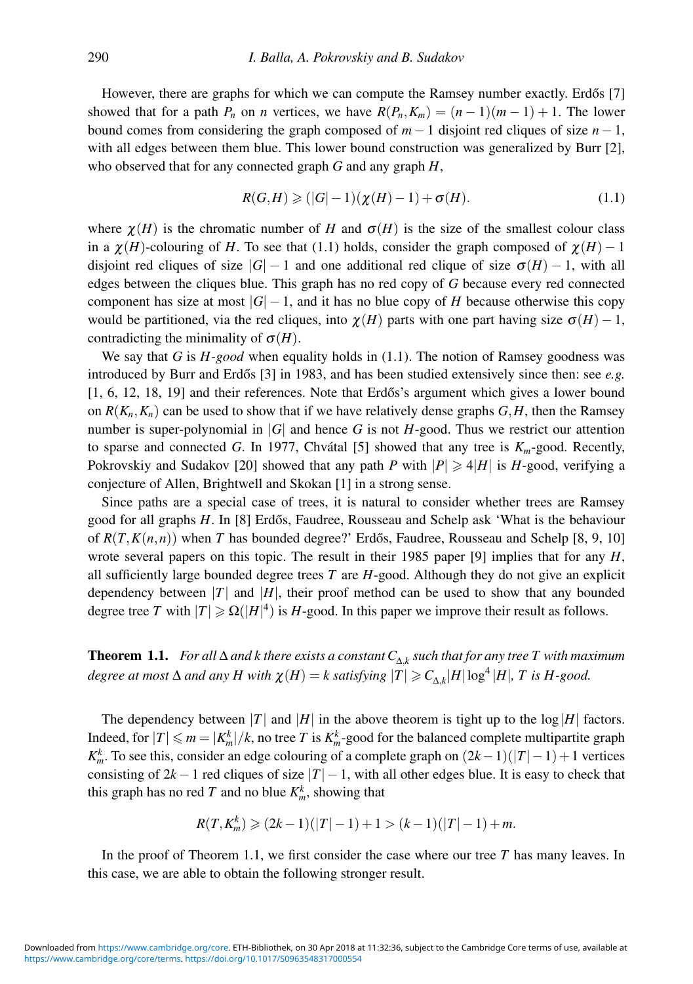However, there are graphs for which we can compute the Ramsey number exactly. Erdős [7] showed that for a path  $P_n$  on *n* vertices, we have  $R(P_n, K_m) = (n-1)(m-1) + 1$ . The lower bound comes from considering the graph composed of  $m-1$  disjoint red cliques of size  $n-1$ , with all edges between them blue. This lower bound construction was generalized by Burr [2], who observed that for any connected graph *G* and any graph *H*,

$$
R(G,H) \geq (|G|-1)(\chi(H)-1) + \sigma(H). \tag{1.1}
$$

where  $\chi(H)$  is the chromatic number of *H* and  $\sigma(H)$  is the size of the smallest colour class in a  $\chi(H)$ -colouring of *H*. To see that (1.1) holds, consider the graph composed of  $\chi(H) - 1$ disjoint red cliques of size  $|G| - 1$  and one additional red clique of size  $\sigma(H) - 1$ , with all edges between the cliques blue. This graph has no red copy of *G* because every red connected component has size at most  $|G| - 1$ , and it has no blue copy of *H* because otherwise this copy would be partitioned, via the red cliques, into  $\chi(H)$  parts with one part having size  $\sigma(H) - 1$ , contradicting the minimality of  $\sigma(H)$ .

We say that *G* is *H-good* when equality holds in (1.1). The notion of Ramsey goodness was introduced by Burr and Erdős  $[3]$  in 1983, and has been studied extensively since then: see  $e.g.$  $[1, 6, 12, 18, 19]$  and their references. Note that Erdős's argument which gives a lower bound on  $R(K_n, K_n)$  can be used to show that if we have relatively dense graphs  $G, H$ , then the Ramsey number is super-polynomial in  $|G|$  and hence *G* is not *H*-good. Thus we restrict our attention to sparse and connected *G*. In 1977, Chvátal [5] showed that any tree is  $K_m$ -good. Recently, Pokrovskiy and Sudakov [20] showed that any path *P* with  $|P| \ge 4|H|$  is *H*-good, verifying a conjecture of Allen, Brightwell and Skokan [1] in a strong sense.

Since paths are a special case of trees, it is natural to consider whether trees are Ramsey good for all graphs *H*. In [8] Erdős, Faudree, Rousseau and Schelp ask 'What is the behaviour of  $R(T,K(n,n))$  when *T* has bounded degree?' Erdős, Faudree, Rousseau and Schelp [8, 9, 10] wrote several papers on this topic. The result in their 1985 paper [9] implies that for any *H*, all sufficiently large bounded degree trees *T* are *H*-good. Although they do not give an explicit dependency between  $|T|$  and  $|H|$ , their proof method can be used to show that any bounded degree tree *T* with  $|T| \ge \Omega(|H|^4)$  is *H*-good. In this paper we improve their result as follows.

**Theorem 1.1.** *For all*  $\Delta$  *and k there exists a constant*  $C_{\Delta k}$  *such that for any tree T with maximum degree at most*  $\Delta$  *and any*  $H$  *with*  $\chi(H) = k$  *satisfying*  $|T| \geq C_{\Delta k} |H| \log^4 |H|$ *, T is*  $H$ -good.

The dependency between |*T*| and |*H*| in the above theorem is tight up to the  $log|H|$  factors. Indeed, for  $|T| \le m = |K_m^k|/k$ , no tree *T* is  $K_m^k$ -good for the balanced complete multipartite graph *K*<sup>*k*</sup><sub>*m*</sub>. To see this, consider an edge colouring of a complete graph on  $(2k-1)(|T|-1)+1$  vertices consisting of  $2k - 1$  red cliques of size  $|T| - 1$ , with all other edges blue. It is easy to check that this graph has no red *T* and no blue  $K_m^k$ , showing that

$$
R(T, K_m^k) \geqslant (2k-1)(|T|-1)+1 > (k-1)(|T|-1)+m.
$$

In the proof of Theorem 1.1, we first consider the case where our tree *T* has many leaves. In this case, we are able to obtain the following stronger result.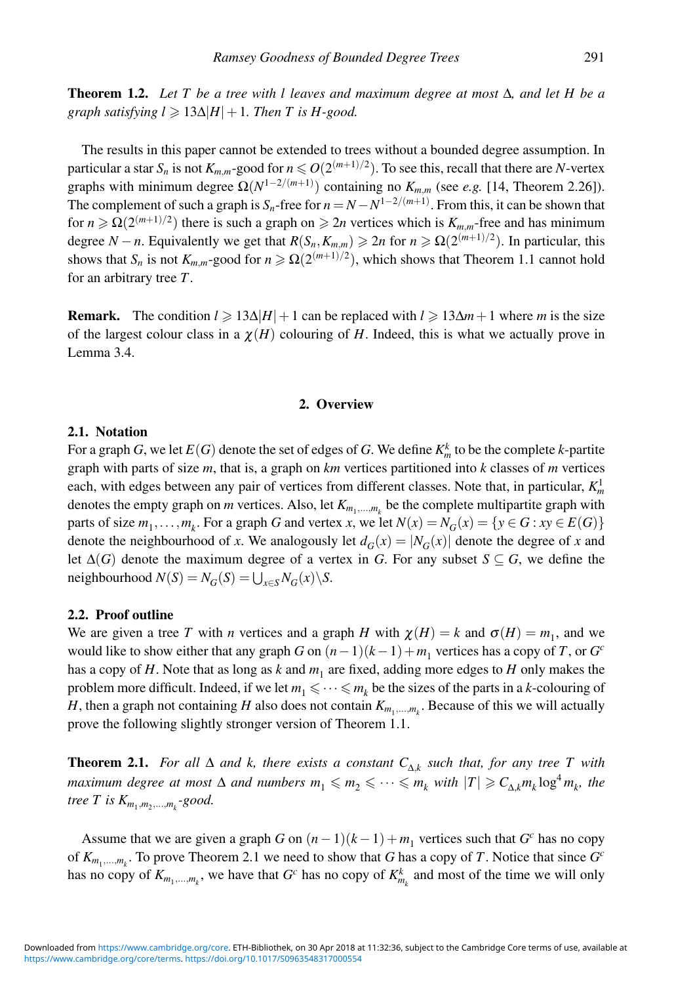**Theorem 1.2.** *Let T be a tree with l leaves and maximum degree at most* Δ*, and let H be a graph satisfying*  $l \ge 13\Delta|H|+1$ *. Then T is H-good.* 

The results in this paper cannot be extended to trees without a bounded degree assumption. In particular a star  $S_n$  is not  $K_{m,m}$ -good for  $n \leq O(2^{(m+1)/2})$ . To see this, recall that there are *N*-vertex graphs with minimum degree  $\Omega(N^{1-2/(m+1)})$  containing no  $K_{m,m}$  (see *e.g.* [14, Theorem 2.26]). The complement of such a graph is  $S_n$ -free for  $n = N - N^{1-2/(m+1)}$ . From this, it can be shown that for  $n \ge \Omega(2^{(m+1)/2})$  there is such a graph on  $\ge 2n$  vertices which is  $K_{m,m}$ -free and has minimum degree *N* − *n*. Equivalently we get that  $R(S_n, K_{m,m}) \ge 2n$  for  $n \ge \Omega(2^{(m+1)/2})$ . In particular, this shows that  $S_n$  is not  $K_{m,m}$ -good for  $n \geq \Omega(2^{(m+1)/2})$ , which shows that Theorem 1.1 cannot hold for an arbitrary tree *T*.

**Remark.** The condition  $l \ge 13\Delta|H|+1$  can be replaced with  $l \ge 13\Delta m+1$  where *m* is the size of the largest colour class in a  $\chi(H)$  colouring of *H*. Indeed, this is what we actually prove in Lemma 3.4.

### **2. Overview**

# **2.1. Notation**

For a graph  $G$ , we let  $E(G)$  denote the set of edges of  $G$ . We define  $K_m^k$  to be the complete  $k$ -partite graph with parts of size *m*, that is, a graph on *km* vertices partitioned into *k* classes of *m* vertices each, with edges between any pair of vertices from different classes. Note that, in particular,  $K_m^1$ denotes the empty graph on *m* vertices. Also, let  $K_{m_1,...,m_k}$  be the complete multipartite graph with parts of size  $m_1, \ldots, m_k$ . For a graph *G* and vertex *x*, we let  $N(x) = N_G(x) = \{y \in G : xy \in E(G)\}\$ denote the neighbourhood of *x*. We analogously let  $d_G(x) = |N_G(x)|$  denote the degree of *x* and let  $\Delta(G)$  denote the maximum degree of a vertex in *G*. For any subset  $S \subseteq G$ , we define the  $N(S) = N_G(S) = \bigcup_{x \in S} N_G(x) \setminus S$ .

## **2.2. Proof outline**

We are given a tree *T* with *n* vertices and a graph *H* with  $\chi(H) = k$  and  $\sigma(H) = m_1$ , and we would like to show either that any graph *G* on  $(n-1)(k-1)+m_1$  vertices has a copy of *T*, or *G<sup>c</sup>* has a copy of  $H$ . Note that as long as  $k$  and  $m<sub>1</sub>$  are fixed, adding more edges to  $H$  only makes the problem more difficult. Indeed, if we let  $m_1 \leq \cdots \leq m_k$  be the sizes of the parts in a *k*-colouring of *H*, then a graph not containing *H* also does not contain  $K_{m_1,...,m_k}$ . Because of this we will actually prove the following slightly stronger version of Theorem 1.1.

**Theorem 2.1.** *For all*  $\Delta$  *and k, there exists a constant*  $C_{\Delta k}$  *such that, for any tree T* with  $maximum$  degree at most  $\Delta$  and numbers  $m_1 \leqslant m_2 \leqslant \cdots \leqslant m_k$  with  $|T| \geqslant C_{\Delta,k} m_k \log^4 m_k$ , the *tree T is*  $K_{m_1, m_2, ..., m_k}$ -good.

Assume that we are given a graph *G* on  $(n-1)(k-1) + m_1$  vertices such that *G<sup>c</sup>* has no copy of *Km*1,...,*mk* . To prove Theorem 2.1 we need to show that *G* has a copy of *T*. Notice that since *Gc* has no copy of  $K_{m_1,...,m_k}$ , we have that  $G^c$  has no copy of  $K_{m_k}^k$  and most of the time we will only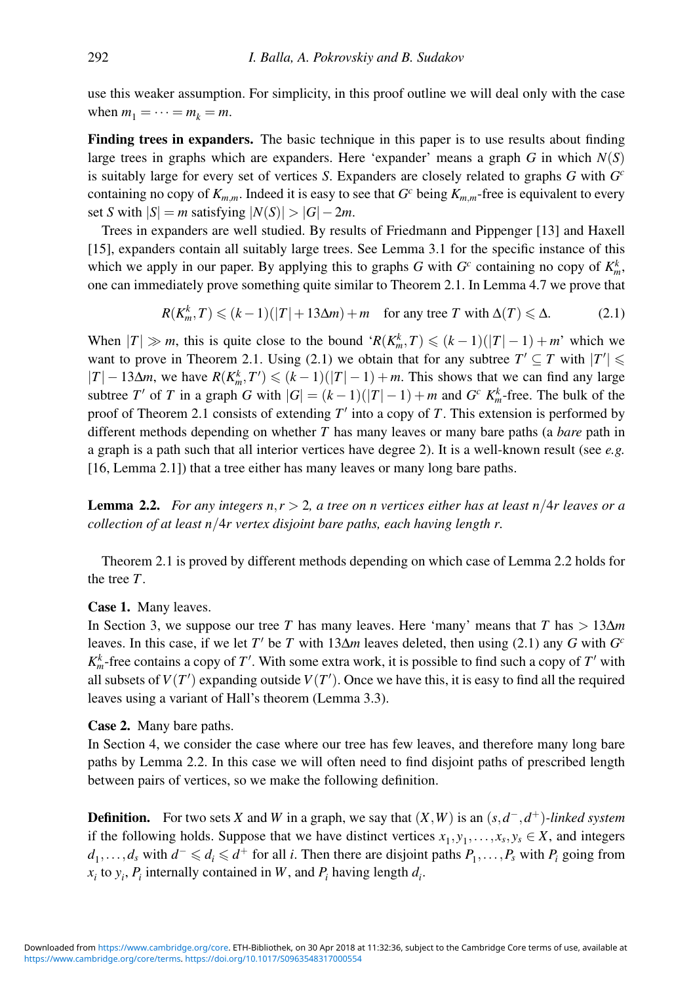use this weaker assumption. For simplicity, in this proof outline we will deal only with the case when  $m_1 = \cdots = m_k = m$ .

**Finding trees in expanders.** The basic technique in this paper is to use results about finding large trees in graphs which are expanders. Here 'expander' means a graph  $G$  in which  $N(S)$ is suitably large for every set of vertices *S*. Expanders are closely related to graphs *G* with *Gc* containing no copy of  $K_{m,m}$ . Indeed it is easy to see that  $G<sup>c</sup>$  being  $K_{m,m}$ -free is equivalent to every set *S* with  $|S| = m$  satisfying  $|N(S)| > |G| - 2m$ .

Trees in expanders are well studied. By results of Friedmann and Pippenger [13] and Haxell [15], expanders contain all suitably large trees. See Lemma 3.1 for the specific instance of this which we apply in our paper. By applying this to graphs *G* with  $G<sup>c</sup>$  containing no copy of  $K<sup>k</sup><sub>m</sub>$ , one can immediately prove something quite similar to Theorem 2.1. In Lemma 4.7 we prove that

$$
R(K_m^k, T) \le (k-1)(|T| + 13\Delta m) + m \quad \text{for any tree } T \text{ with } \Delta(T) \le \Delta. \tag{2.1}
$$

When  $|T| \gg m$ , this is quite close to the bound ' $R(K_m^k, T) \leq (k-1)(|T| - 1) + m$ ' which we want to prove in Theorem 2.1. Using (2.1) we obtain that for any subtree  $T' \subseteq T$  with  $|T'| \leq$  $|T| - 13\Delta m$ , we have  $R(K_m^k, T') \leq (k-1)(|T| - 1) + m$ . This shows that we can find any large subtree *T'* of *T* in a graph *G* with  $|G| = (k-1)(|T|-1) + m$  and *G<sup>c</sup>*  $K_m^k$ -free. The bulk of the proof of Theorem 2.1 consists of extending  $T'$  into a copy of  $T$ . This extension is performed by different methods depending on whether *T* has many leaves or many bare paths (a *bare* path in a graph is a path such that all interior vertices have degree 2). It is a well-known result (see *e.g.* [16, Lemma 2.1]) that a tree either has many leaves or many long bare paths.

**Lemma 2.2.** *For any integers n*,*r* > 2*, a tree on n vertices either has at least n*/4*r leaves or a collection of at least n*/4*r vertex disjoint bare paths, each having length r.*

Theorem 2.1 is proved by different methods depending on which case of Lemma 2.2 holds for the tree *T*.

#### **Case 1.** Many leaves.

In Section 3, we suppose our tree *T* has many leaves. Here 'many' means that *T* has > 13Δ*m* leaves. In this case, if we let *T'* be *T* with  $13\Delta m$  leaves deleted, then using (2.1) any *G* with  $G<sup>c</sup>$  $K_m^k$ -free contains a copy of *T*'. With some extra work, it is possible to find such a copy of *T*' with all subsets of  $V(T')$  expanding outside  $V(T')$ . Once we have this, it is easy to find all the required leaves using a variant of Hall's theorem (Lemma 3.3).

# **Case 2.** Many bare paths.

In Section 4, we consider the case where our tree has few leaves, and therefore many long bare paths by Lemma 2.2. In this case we will often need to find disjoint paths of prescribed length between pairs of vertices, so we make the following definition.

**Definition.** For two sets *X* and *W* in a graph, we say that  $(X, W)$  is an  $(s, d<sup>-</sup>, d<sup>+</sup>)$ *-linked system* if the following holds. Suppose that we have distinct vertices  $x_1, y_1, \ldots, x_s, y_s \in X$ , and integers *d*<sub>1</sub>,...,*d<sub>s</sub>* with *d*<sup>−</sup> ≤ *d<sub>i</sub>* ≤ *d*<sup>+</sup> for all *i*. Then there are disjoint paths *P*<sub>1</sub>,...,*P<sub>s</sub>* with *P<sub>i</sub>* going from  $x_i$  to  $y_i$ ,  $P_i$  internally contained in *W*, and  $P_i$  having length  $d_i$ .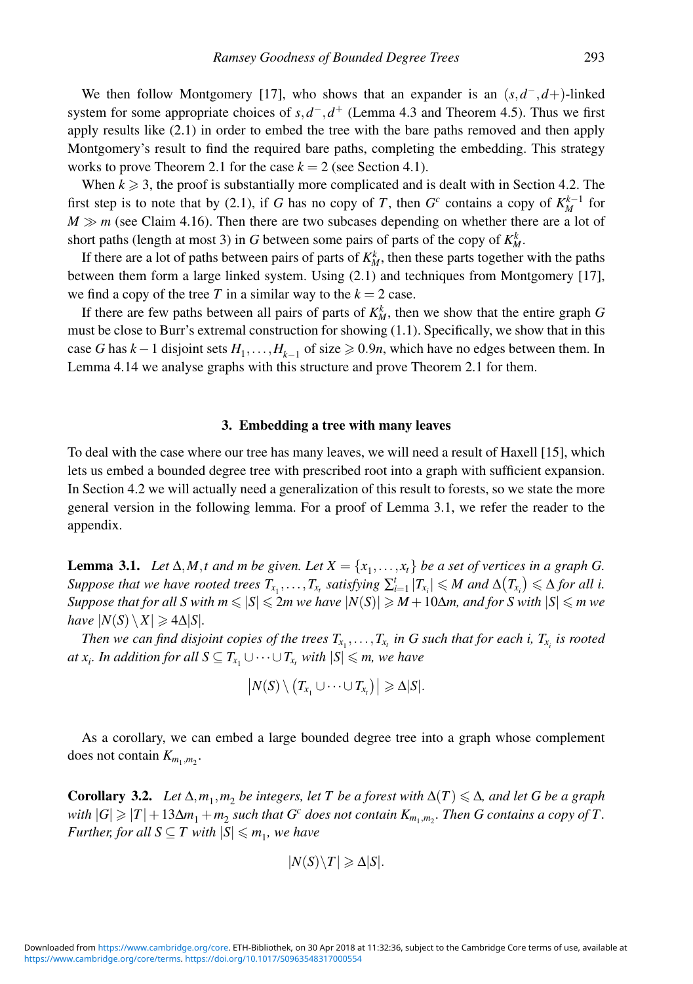We then follow Montgomery [17], who shows that an expander is an  $(s, d<sup>-</sup>, d<sup>+</sup>)$ -linked system for some appropriate choices of  $s, d^-$ ,  $d^+$  (Lemma 4.3 and Theorem 4.5). Thus we first apply results like (2.1) in order to embed the tree with the bare paths removed and then apply Montgomery's result to find the required bare paths, completing the embedding. This strategy works to prove Theorem 2.1 for the case  $k = 2$  (see Section 4.1).

When  $k \geq 3$ , the proof is substantially more complicated and is dealt with in Section 4.2. The first step is to note that by (2.1), if *G* has no copy of *T*, then  $G<sup>c</sup>$  contains a copy of  $K_M^{k-1}$  for  $M \gg m$  (see Claim 4.16). Then there are two subcases depending on whether there are a lot of short paths (length at most 3) in *G* between some pairs of parts of the copy of  $K_M^k$ .

If there are a lot of paths between pairs of parts of  $K_M^k$ , then these parts together with the paths between them form a large linked system. Using (2.1) and techniques from Montgomery [17], we find a copy of the tree *T* in a similar way to the  $k = 2$  case.

If there are few paths between all pairs of parts of  $K_M^k$ , then we show that the entire graph G must be close to Burr's extremal construction for showing (1.1). Specifically, we show that in this case *G* has  $k-1$  disjoint sets  $H_1, \ldots, H_{k-1}$  of size ≥ 0.9*n*, which have no edges between them. In Lemma 4.14 we analyse graphs with this structure and prove Theorem 2.1 for them.

#### **3. Embedding a tree with many leaves**

To deal with the case where our tree has many leaves, we will need a result of Haxell [15], which lets us embed a bounded degree tree with prescribed root into a graph with sufficient expansion. In Section 4.2 we will actually need a generalization of this result to forests, so we state the more general version in the following lemma. For a proof of Lemma 3.1, we refer the reader to the appendix.

**Lemma 3.1.** *Let*  $\Delta$ *,M,t* and *m be given. Let*  $X = \{x_1, \ldots, x_t\}$  *be a set of vertices in a graph G. Suppose that we have rooted trees*  $T_{x_1}, \ldots, T_{x_t}$  *satisfying*  $\sum_{i=1}^t |T_{x_i}| \leqslant M$  and  $\Delta(T_{x_i}) \leqslant \Delta$  for all i.  $Suppose$  that for all  $S$  with  $m \leqslant |S| \leqslant 2m$  we have  $|N(S)| \geqslant M+10\Delta m,$  and for  $S$  with  $|S| \leqslant m$  we *have*  $|N(S) \setminus X| \geq 4\Delta |S|$ *.* 

Then we can find disjoint copies of the trees  $T_{x_1},\ldots,T_{x_t}$  in G such that for each i,  $T_{x_i}$  is rooted *at x<sub>i</sub>*. In addition for all  $S \subseteq T_{x_1} \cup \cdots \cup T_{x_t}$  with  $|S| \leqslant m$ , we have

$$
|N(S)\setminus (T_{x_1}\cup\cdots\cup T_{x_t})|\geqslant \Delta|S|.
$$

As a corollary, we can embed a large bounded degree tree into a graph whose complement does not contain  $K_{m_1,m_2}$ .

**Corollary 3.2.** *Let*  $\Delta, m_1, m_2$  *be integers, let T be a forest with*  $\Delta(T) \leq \Delta$ *, and let G be a graph with*  $|G| \geqslant |T| + 13\Delta m_1 + m_2$  *such that*  $G^c$  *does not contain*  $K_{m_1,m_2}$ *. Then*  $G$  *contains a copy of T*. *Further, for all*  $S \subseteq T$  with  $|S| \leq m_1$ , we have

$$
|N(S)\setminus T|\geqslant \Delta|S|.
$$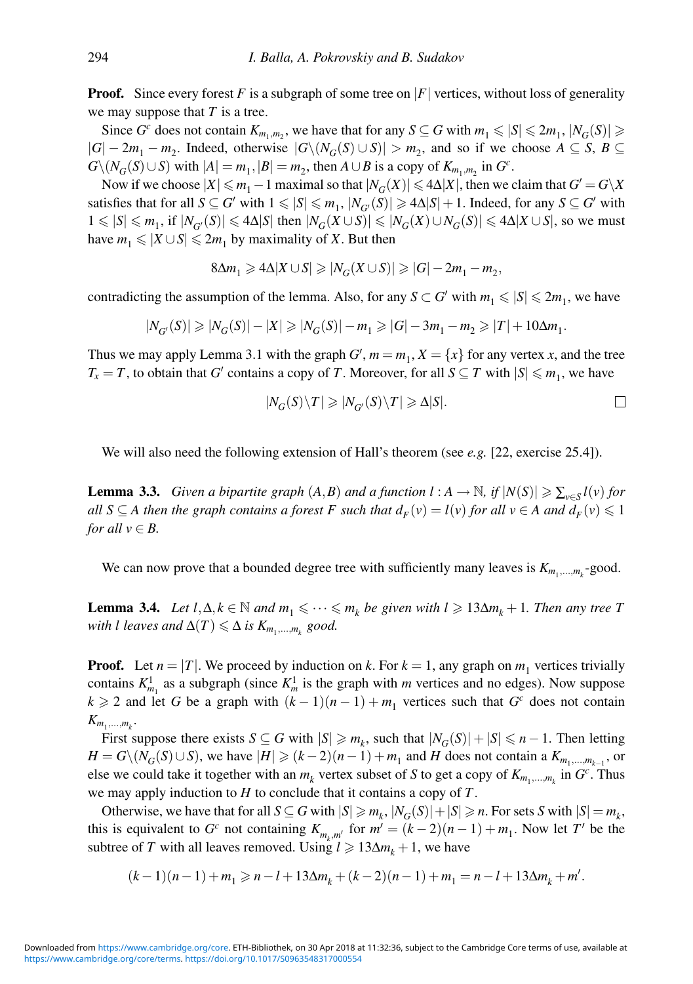**Proof.** Since every forest F is a subgraph of some tree on  $|F|$  vertices, without loss of generality we may suppose that *T* is a tree.

Since *G*<sup>c</sup> does not contain  $K_{m_1,m_2}$ , we have that for any  $S \subseteq G$  with  $m_1 \le |S| \le 2m_1$ ,  $|N_G(S)| \ge$  $|G| - 2m_1 - m_2$ . Indeed, otherwise  $|G \setminus (N_G(S) \cup S)| > m_2$ , and so if we choose  $A \subseteq S$ ,  $B \subseteq$  $G\setminus (N_G(S)\cup S)$  with  $|A|=m_1, |B|=m_2$ , then  $A\cup B$  is a copy of  $K_{m_1,m_2}$  in  $G^c$ .

Now if we choose  $|X| \le m_1 - 1$  maximal so that  $|N_G(X)| \le 4\Delta |X|$ , then we claim that  $G' = G\backslash X$ satisfies that for all  $S \subseteq G'$  with  $1 \leq |S| \leq m_1$ ,  $|N_{G'}(S)| \geq 4\Delta|S| + 1$ . Indeed, for any  $S \subseteq G'$  with  $1 \leq |S| \leq m_1$ , if  $|N_{G'}(S)| \leq 4\Delta|S|$  then  $|N_G(X \cup S)| \leq |N_G(X) \cup N_G(S)| \leq 4\Delta|X \cup S|$ , so we must have  $m_1 \leqslant |X \cup S| \leqslant 2m_1$  by maximality of *X*. But then

$$
8\Delta m_1 \geqslant 4\Delta |X \cup S| \geqslant |N_G(X \cup S)| \geqslant |G| - 2m_1 - m_2,
$$

contradicting the assumption of the lemma. Also, for any  $S \subset G'$  with  $m_1 \leq |S| \leq 2m_1$ , we have

$$
|N_{G'}(S)| \geq |N_G(S)| - |X| \geq |N_G(S)| - m_1 \geq |G| - 3m_1 - m_2 \geq |T| + 10\Delta m_1.
$$

Thus we may apply Lemma 3.1 with the graph  $G'$ ,  $m = m_1$ ,  $X = \{x\}$  for any vertex *x*, and the tree *T<sub>x</sub>* = *T*, to obtain that *G*<sup> $\prime$ </sup> contains a copy of *T*. Moreover, for all *S*  $\subseteq$  *T* with  $|S| \le m_1$ , we have

$$
|N_G(S)\setminus T|\geqslant |N_{G'}(S)\setminus T|\geqslant \Delta|S|.\tag{}
$$

We will also need the following extension of Hall's theorem (see *e.g.* [22, exercise 25.4]).

**Lemma 3.3.** *Given a bipartite graph*  $(A, B)$  *and a function*  $l : A \rightarrow \mathbb{N}$ *, if*  $|N(S)| \geq \sum_{v \in S} l(v)$  *for all*  $S \subseteq A$  then the graph contains a forest F such that  $d_F(v) = l(v)$  for all  $v \in A$  and  $d_F(v) \leq 1$ *for all*  $v \in B$ .

We can now prove that a bounded degree tree with sufficiently many leaves is  $K_{m_1,...,m_k}$ -good.

**Lemma 3.4.** *Let*  $l, \Delta, k \in \mathbb{N}$  *and*  $m_1 \leq \cdots \leq m_k$  *be given with*  $l \geq 13\Delta m_k + 1$ *. Then any tree T*  $with$  *l* leaves and  $\Delta(T) \leq \Delta$  is  $K_{m_1,...,m_k}$  good.

**Proof.** Let  $n = |T|$ . We proceed by induction on k. For  $k = 1$ , any graph on  $m_1$  vertices trivially contains  $K_{m_1}^1$  as a subgraph (since  $K_m^1$  is the graph with *m* vertices and no edges). Now suppose  $k \ge 2$  and let *G* be a graph with  $(k-1)(n-1) + m_1$  vertices such that *G<sup>c</sup>* does not contain  $K_{m_1,\ldots,m_k}$ .

First suppose there exists  $S \subseteq G$  with  $|S| \geq m_k$ , such that  $|N_G(S)| + |S| \leq n - 1$ . Then letting *H* = *G*\( $N_G(S) \cup S$ ), we have  $|H| \ge (k-2)(n-1) + m_1$  and *H* does not contain a  $K_{m_1,\dots,m_{k-1}}$ , or else we could take it together with an  $m_k$  vertex subset of *S* to get a copy of  $K_{m_1,...,m_k}$  in  $G^c$ . Thus we may apply induction to *H* to conclude that it contains a copy of *T*.

Otherwise, we have that for all  $S \subseteq G$  with  $|S| \ge m_k$ ,  $|N_G(S)| + |S| \ge n$ . For sets *S* with  $|S| = m_k$ , this is equivalent to *G<sup>c</sup>* not containing  $K_{m_k, m'}$  for  $m' = (k-2)(n-1) + m_1$ . Now let *T'* be the subtree of *T* with all leaves removed. Using  $l \ge 13\Delta m_k + 1$ , we have

$$
(k-1)(n-1)+m_1\geqslant n-l+13\Delta m_k+(k-2)(n-1)+m_1=n-l+13\Delta m_k+m'.
$$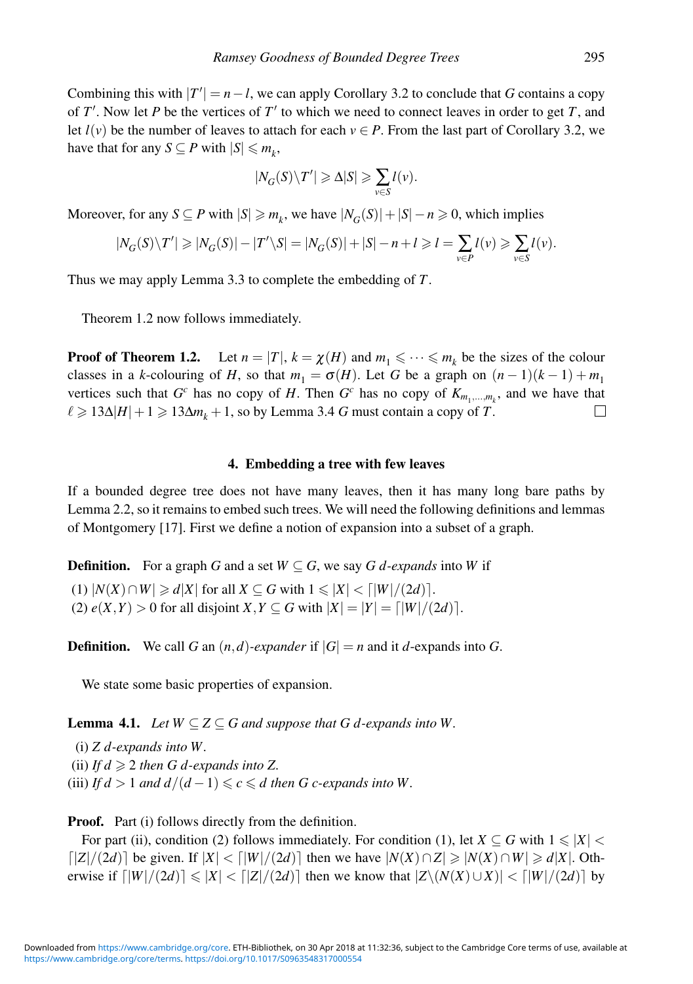Combining this with  $|T'| = n - l$ , we can apply Corollary 3.2 to conclude that *G* contains a copy of *T'*. Now let *P* be the vertices of *T'* to which we need to connect leaves in order to get *T*, and let  $l(v)$  be the number of leaves to attach for each  $v \in P$ . From the last part of Corollary 3.2, we have that for any  $S \subseteq P$  with  $|S| \leq m_k$ ,

$$
|N_G(S)\backslash T'|\geqslant \Delta|S|\geqslant \sum_{v\in S}l(v).
$$

Moreover, for any  $S \subseteq P$  with  $|S| \ge m_k$ , we have  $|N_G(S)| + |S| - n \ge 0$ , which implies

$$
|N_G(S)\setminus T'|\geqslant |N_G(S)|-|T'\setminus S|=|N_G(S)|+|S|-n+l\geqslant l=\sum_{v\in P}l(v)\geqslant \sum_{v\in S}l(v).
$$

Thus we may apply Lemma 3.3 to complete the embedding of *T*.

Theorem 1.2 now follows immediately.

**Proof of Theorem 1.2.** Let  $n = |T|$ ,  $k = \chi(H)$  and  $m_1 \leq \cdots \leq m_k$  be the sizes of the colour classes in a *k*-colouring of *H*, so that  $m_1 = \sigma(H)$ . Let *G* be a graph on  $(n-1)(k-1) + m_1$ vertices such that  $G^c$  has no copy of *H*. Then  $G^c$  has no copy of  $K_{m_1,...,m_k}$ , and we have that  $\ell \geqslant 13\Delta|H|+1 \geqslant 13\Delta m_k+1$ , so by Lemma 3.4 *G* must contain a copy of *T*. П

## **4. Embedding a tree with few leaves**

If a bounded degree tree does not have many leaves, then it has many long bare paths by Lemma 2.2, so it remains to embed such trees. We will need the following definitions and lemmas of Montgomery [17]. First we define a notion of expansion into a subset of a graph.

**Definition.** For a graph *G* and a set  $W \subseteq G$ , we say *G d-expands* into *W* if

 $(1)$   $|N(X) \cap W| \geqslant d|X|$  for all  $X \subseteq G$  with  $1 \leqslant |X| < \lceil |W|/(2d) \rceil$ . (2)  $e(X, Y) > 0$  for all disjoint  $X, Y \subseteq G$  with  $|X| = |Y| = \lfloor |W|/(2d) \rfloor$ .

**Definition.** We call *G* an  $(n,d)$ *-expander* if  $|G| = n$  and it *d*-expands into *G*.

We state some basic properties of expansion.

**Lemma 4.1.** *Let*  $W \subseteq Z \subseteq G$  *and suppose that*  $G$  *d*-expands into W.

(i) *Z d-expands into W.* (ii) *If*  $d \geq 2$  *then G d-expands into Z.* (iii) *If d* > 1 *and d*  $/(d-1) \leq c \leq d$  *then G c-expands into* W.

Proof. Part (i) follows directly from the definition.

For part (ii), condition (2) follows immediately. For condition (1), let  $X \subseteq G$  with  $1 \leqslant |X|$  $\lceil |Z|/(2d) \rceil$  be given. If  $|X| < \lceil |W|/(2d) \rceil$  then we have  $|N(X) \cap Z| \ge |N(X) \cap W| \ge d|X|$ . Otherwise if  $\lceil |W|/(2d) \rceil \leq |X| < \lceil |Z|/(2d) \rceil$  then we know that  $|Z \setminus (N(X) \cup X)| < \lceil |W|/(2d) \rceil$  by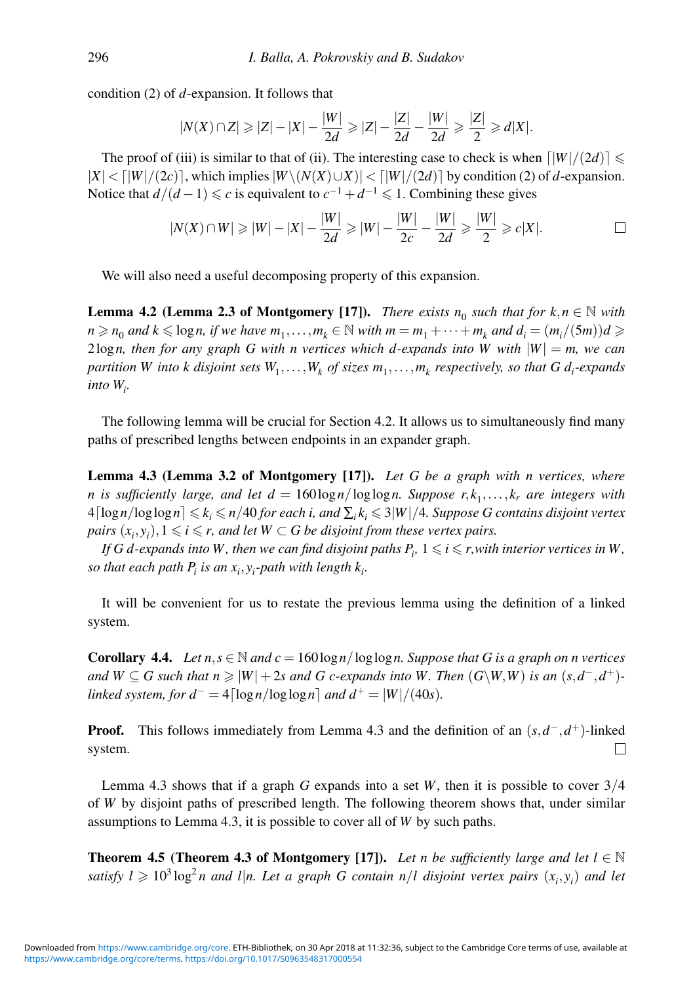condition (2) of *d*-expansion. It follows that

$$
|N(X) \cap Z| \geq |Z| - |X| - \frac{|W|}{2d} \geq |Z| - \frac{|Z|}{2d} - \frac{|W|}{2d} \geq \frac{|Z|}{2} \geq d|X|.
$$

The proof of (iii) is similar to that of (ii). The interesting case to check is when  $\lfloor |W|/(2d)\rfloor \leq$  $|X|$  <  $\lceil |W|/(2c)$ ], which implies  $|W \setminus (N(X) \cup X)|$  <  $\lceil |W|/(2d)$  by condition (2) of *d*-expansion. Notice that  $d/(d-1) \leq c$  is equivalent to  $c^{-1} + d^{-1} \leq 1$ . Combining these gives

$$
|N(X) \cap W| \geq |W| - |X| - \frac{|W|}{2d} \geq |W| - \frac{|W|}{2c} - \frac{|W|}{2d} \geq \frac{|W|}{2} \geq c|X|.
$$

We will also need a useful decomposing property of this expansion.

**Lemma 4.2 (Lemma 2.3 of Montgomery [17]).** *There exists*  $n_0$  *such that for*  $k, n \in \mathbb{N}$  *with*  $n \ge n_0$  *and*  $k \le \log n$ , *if we have*  $m_1, \ldots, m_k \in \mathbb{N}$  *with*  $m = m_1 + \cdots + m_k$  *and*  $d_i = (m_i/(5m))d \ge$ 2 $\log n$ , then for any graph G with n vertices which d-expands into W with  $|W| = m$ , we can *partition W into k disjoint sets*  $W_1, \ldots, W_k$  *of sizes*  $m_1, \ldots, m_k$  *respectively, so that G d<sub>i</sub>-expands into Wi .*

The following lemma will be crucial for Section 4.2. It allows us to simultaneously find many paths of prescribed lengths between endpoints in an expander graph.

**Lemma 4.3 (Lemma 3.2 of Montgomery [17]).** *Let G be a graph with n vertices, where n* is sufficiently large, and let  $d = 160\log n / \log \log n$ . Suppose  $r, k_1, \ldots, k_r$  are integers with  $4\lceil\log n/\log\log n\rceil\leqslant k_i\leqslant n/40$  for each i, and  $\sum_ik_i\leqslant 3|W|/4$ . Suppose G contains disjoint vertex  $pairs (x_i, y_i), 1 \leqslant i \leqslant r,$  and let  $W \subset G$  be disjoint from these vertex pairs.

*If*  $G$  *d-expands into*  $W$  *, then we can find disjoint paths*  $P_i$ *,*  $1 \leqslant i \leqslant r,$  *with interior vertices in*  $W$  *, so that each path*  $P_i$  *is an*  $x_i, y_i$ *-path with length*  $k_i$ *.* 

It will be convenient for us to restate the previous lemma using the definition of a linked system.

**Corollary 4.4.** *Let*  $n, s \in \mathbb{N}$  *and*  $c = 160 \log n / \log \log n$ *. Suppose that* G *is a graph on n vertices and*  $W ⊆ G$  such that  $n \geq |W| + 2s$  and  $G$  c-expands into W. Then  $(G\W, W)$  is an  $(s, d^-, d^+)$ *linked system, for d*<sup>-</sup> = 4[log<sub>*n*</sub>/log<sub>log<sub>n</sub>] *and d*<sup>+</sup> = |*W*|/(40*s*)*.*</sub>

**Proof.** This follows immediately from Lemma 4.3 and the definition of an  $(s, d^-, d^+)$ -linked system. П

Lemma 4.3 shows that if a graph *G* expands into a set *W*, then it is possible to cover 3/4 of *W* by disjoint paths of prescribed length. The following theorem shows that, under similar assumptions to Lemma 4.3, it is possible to cover all of *W* by such paths.

**Theorem 4.5 (Theorem 4.3 of Montgomery [17]).** *Let n be sufficiently large and let l*  $\in \mathbb{N}$ *satisfy*  $l \geqslant 10^3 \log^2 n$  and l|n. Let a graph G contain  $n/l$  disjoint vertex pairs  $(x_i, y_i)$  and let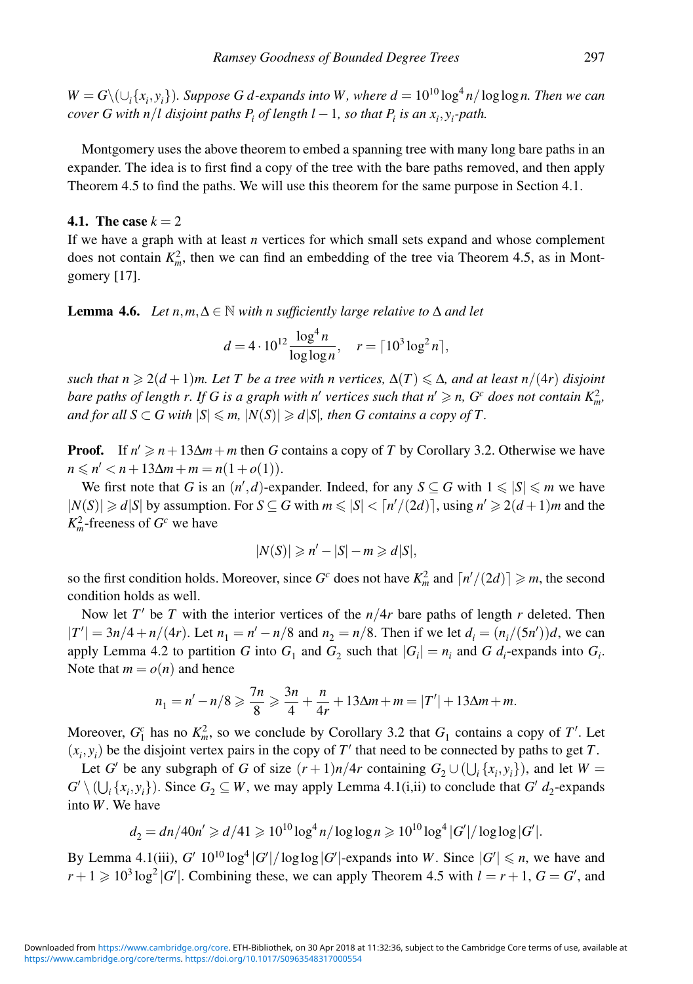*W* = *G*\(∪<sub>*i*</sub>{*x<sub><i>i*</sub>,y<sub>*i*</sub>}</sub>)*. Suppose G d-expands into W, where*  $d = 10^{10} \log^4 n / \log \log n$ *. Then we can cover G with n/l disjoint paths*  $P_i$  *of length l*  $-1$ *, so that*  $P_i$  *is an*  $x_i, y_i$ *-path.* 

Montgomery uses the above theorem to embed a spanning tree with many long bare paths in an expander. The idea is to first find a copy of the tree with the bare paths removed, and then apply Theorem 4.5 to find the paths. We will use this theorem for the same purpose in Section 4.1.

# **4.1. The case**  $k = 2$

If we have a graph with at least *n* vertices for which small sets expand and whose complement does not contain  $K_m^2$ , then we can find an embedding of the tree via Theorem 4.5, as in Montgomery [17].

**Lemma 4.6.** *Let*  $n,m,\Delta \in \mathbb{N}$  *with n sufficiently large relative to*  $\Delta$  *and let* 

$$
d = 4 \cdot 10^{12} \frac{\log^4 n}{\log \log n}, \quad r = \lceil 10^3 \log^2 n \rceil,
$$

 $s$ uch that  $n \geqslant 2(d+1)m$ . Let  $T$  be a tree with  $n$  vertices,  $\Delta(T) \leqslant \Delta$ , and at least  $n/(4r)$  disjoint *bare paths of length r. If G is a graph with n' vertices such that n'*  $\geq n$ *, G<sup>c</sup> does not contain*  $K_m^2$ *,* and for all  $S \subset G$  with  $|S| \leqslant m$ ,  $|N(S)| \geqslant d|S|$ , then  $G$  contains a copy of  $T$ .

**Proof.** If  $n' \ge n + 13\Delta m + m$  then *G* contains a copy of *T* by Corollary 3.2. Otherwise we have  $n \le n' < n + 13\Delta m + m = n(1+o(1)).$ 

We first note that *G* is an  $(n', d)$ -expander. Indeed, for any  $S \subseteq G$  with  $1 \leq |S| \leq m$  we have  $|N(S)| \ge d|S|$  by assumption. For  $S \subseteq G$  with  $m \le |S| < \lceil n'/(2d) \rceil$ , using  $n' \ge 2(d+1)m$  and the  $K_m^2$ -freeness of  $G^c$  we have

$$
|N(S)| \geqslant n' - |S| - m \geqslant d|S|,
$$

so the first condition holds. Moreover, since  $G^c$  does not have  $K_m^2$  and  $\lceil n'/(2d) \rceil \geq m$ , the second condition holds as well.

Now let  $T'$  be  $T$  with the interior vertices of the  $n/4r$  bare paths of length  $r$  deleted. Then  $|T'| = 3n/4 + n/(4r)$ . Let  $n_1 = n' - n/8$  and  $n_2 = n/8$ . Then if we let  $d_i = (n_i/(5n'))d$ , we can apply Lemma 4.2 to partition *G* into  $G_1$  and  $G_2$  such that  $|G_i| = n_i$  and *G d<sub>i</sub>*-expands into  $G_i$ . Note that  $m = o(n)$  and hence

$$
n_1 = n' - n/8 \geq \frac{7n}{8} \geq \frac{3n}{4} + \frac{n}{4r} + 13\Delta m + m = |T'| + 13\Delta m + m.
$$

Moreover,  $G_1^c$  has no  $K_m^2$ , so we conclude by Corollary 3.2 that  $G_1$  contains a copy of  $T'$ . Let  $(x_i, y_i)$  be the disjoint vertex pairs in the copy of  $T'$  that need to be connected by paths to get  $T$ .

Let *G'* be any subgraph of *G* of size  $(r+1)n/4r$  containing  $G_2 \cup (\bigcup_i \{x_i, y_i\})$ , and let  $W =$  $G' \setminus (\bigcup_i \{x_i, y_i\})$ . Since  $G_2 \subseteq W$ , we may apply Lemma 4.1(i,ii) to conclude that  $G' d_2$ -expands into *W*. We have

$$
d_2 = \frac{dn}{40n'} \geq d/41 \geq 10^{10} \log^4 n / \log \log n \geq 10^{10} \log^4 |G'| / \log \log |G'|.
$$

By Lemma 4.1(iii),  $G'$   $10^{10}$  log<sup>4</sup> | $G'$  |/loglog | $G'$  |-expands into *W*. Since  $|G'| \le n$ , we have and  $r + 1 \geqslant 10^3 \log^2 |G'|$ . Combining these, we can apply Theorem 4.5 with  $l = r + 1$ ,  $G = G'$ , and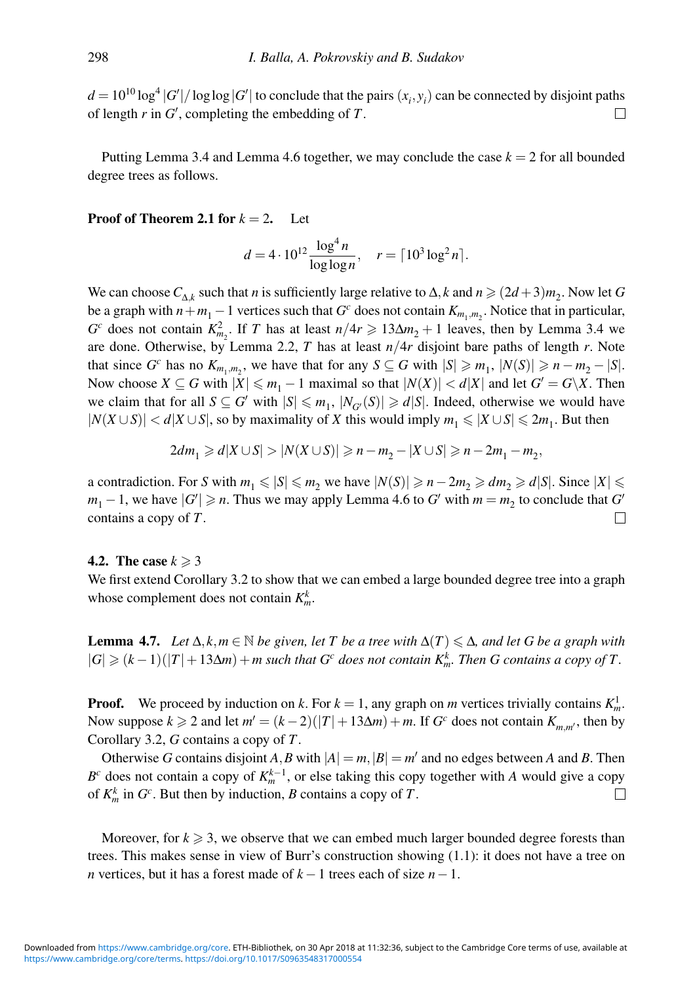$d = 10^{10} \log^4 |G'| / \log \log |G'|$  to conclude that the pairs  $(x_i, y_i)$  can be connected by disjoint paths of length *r* in *G* , completing the embedding of *T*.  $\perp$ 

Putting Lemma 3.4 and Lemma 4.6 together, we may conclude the case  $k = 2$  for all bounded degree trees as follows.

#### **Proof of Theorem 2.1 for**  $k = 2$ . Let

$$
d = 4 \cdot 10^{12} \frac{\log^4 n}{\log \log n}, \quad r = \lceil 10^3 \log^2 n \rceil.
$$

We can choose  $C_{\Lambda_k}$  such that *n* is sufficiently large relative to  $\Delta$ , *k* and  $n \geq (2d+3)m_2$ . Now let *G* be a graph with  $n + m_1 - 1$  vertices such that  $G^c$  does not contain  $K_{m_1,m_2}$ . Notice that in particular, *G*<sup>c</sup> does not contain  $K_{m_2}^2$ . If *T* has at least  $n/4r \ge 13\Delta m_2 + 1$  leaves, then by Lemma 3.4 we are done. Otherwise, by Lemma 2.2, *T* has at least *n*/4*r* disjoint bare paths of length *r*. Note that since  $G^c$  has no  $K_{m_1,m_2}$ , we have that for any  $S \subseteq G$  with  $|S| \geq m_1$ ,  $|N(S)| \geq n - m_2 - |S|$ . Now choose  $X \subseteq G$  with  $|X| \leq m_1 - 1$  maximal so that  $|N(X)| < d|X|$  and let  $G' = G\backslash X$ . Then we claim that for all  $S \subseteq G'$  with  $|S| \leq m_1$ ,  $|N_{G'}(S)| \geq d|S|$ . Indeed, otherwise we would have  $|N(X \cup S)| < d|X \cup S|$ , so by maximality of *X* this would imply  $m_1 \le |X \cup S| \le 2m_1$ . But then

$$
2dm_1 \geq d|X \cup S| > |N(X \cup S)| \geq n - m_2 - |X \cup S| \geq n - 2m_1 - m_2,
$$

a contradiction. For *S* with  $m_1 \le |S| \le m_2$  we have  $|N(S)| \ge n - 2m_2 \ge dm_2 \ge d|S|$ . Since  $|X| \le n$ *m*<sub>1</sub> − 1, we have  $|G'|$  ≥ *n*. Thus we may apply Lemma 4.6 to *G'* with  $m = m_2$  to conclude that *G'* contains a copy of *T*.  $\Box$ 

#### **4.2.** The case  $k \geq 3$

We first extend Corollary 3.2 to show that we can embed a large bounded degree tree into a graph whose complement does not contain  $K_m^k$ .

**Lemma 4.7.** *Let*  $\Delta$ *,k,m*  $\in$  N *be given, let T be a tree with*  $\Delta(T) \leq \Delta$ *, and let G be a graph with*  $|G| \geq (k-1)(|T|+13\Delta m) + m$  such that  $G^c$  does not contain  $K_m^k$ . Then G contains a copy of T.

**Proof.** We proceed by induction on *k*. For  $k = 1$ , any graph on *m* vertices trivially contains  $K_m^1$ . Now suppose  $k \ge 2$  and let  $m' = (k-2)(|T|+13\Delta m) + m$ . If  $G<sup>c</sup>$  does not contain  $K<sub>m,m'</sub>$ , then by Corollary 3.2, *G* contains a copy of *T*.

Otherwise *G* contains disjoint *A*, *B* with  $|A| = m$ ,  $|B| = m'$  and no edges between *A* and *B*. Then *B<sup>c</sup>* does not contain a copy of  $K_m^{k-1}$ , or else taking this copy together with *A* would give a copy of  $K_m^k$  in  $G^c$ . But then by induction, *B* contains a copy of *T*.  $\Box$ 

Moreover, for  $k \geq 3$ , we observe that we can embed much larger bounded degree forests than trees. This makes sense in view of Burr's construction showing (1.1): it does not have a tree on *n* vertices, but it has a forest made of *k* −1 trees each of size *n*−1.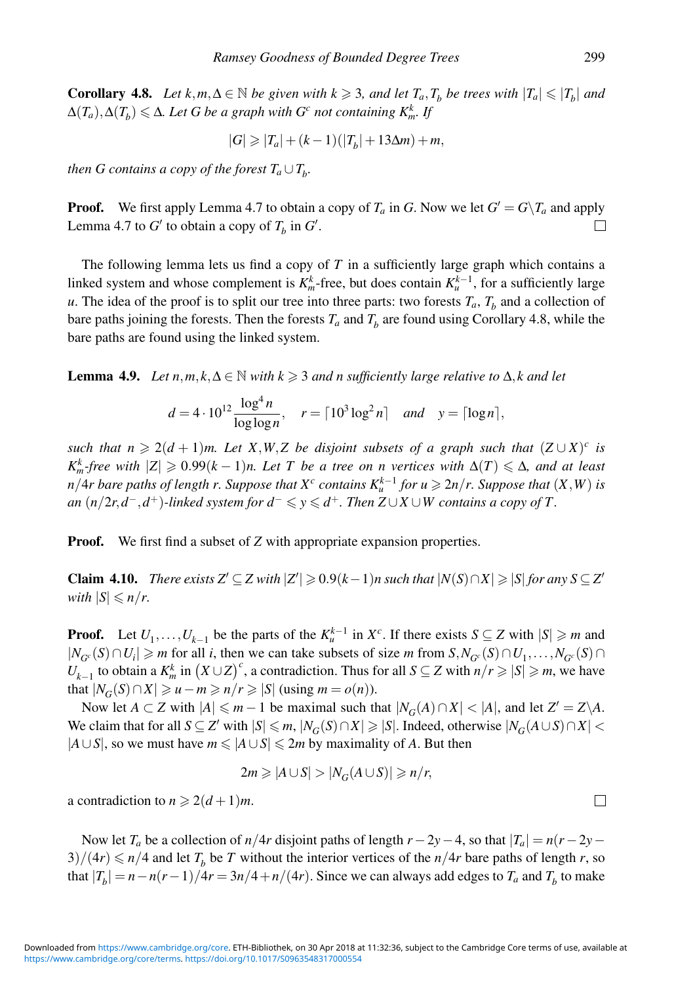**Corollary 4.8.** *Let*  $k, m, \Delta \in \mathbb{N}$  *be given with*  $k \ge 3$ *, and let*  $T_a, T_b$  *be trees with*  $|T_a| \le |T_b|$  *and*  $\Delta(T_a), \Delta(T_b) \leqslant \Delta$ . Let G be a graph with  $G^c$  not containing  $K^k_m$ . If

$$
|G| \geq |T_a| + (k-1)(|T_b| + 13\Delta m) + m,
$$

*then G contains a copy of the forest*  $T_a \cup T_b$ .

**Proof.** We first apply Lemma 4.7 to obtain a copy of  $T_a$  in *G*. Now we let  $G' = G \setminus T_a$  and apply Lemma 4.7 to  $G'$  to obtain a copy of  $T_b$  in  $G'$ . П

The following lemma lets us find a copy of *T* in a sufficiently large graph which contains a linked system and whose complement is  $K_m^k$ -free, but does contain  $K_u^{k-1}$ , for a sufficiently large *u*. The idea of the proof is to split our tree into three parts: two forests  $T_a$ ,  $T_b$  and a collection of bare paths joining the forests. Then the forests  $T_a$  and  $T_b$  are found using Corollary 4.8, while the bare paths are found using the linked system.

**Lemma 4.9.** *Let*  $n, m, k, \Delta \in \mathbb{N}$  *with*  $k \geq 3$  *and n sufficiently large relative to*  $\Delta$ *,k and let* 

$$
d = 4 \cdot 10^{12} \frac{\log^4 n}{\log \log n}, \quad r = \lceil 10^3 \log^2 n \rceil \quad \text{and} \quad y = \lceil \log n \rceil,
$$

*such that*  $n \geq 2(d+1)m$ . Let X,W,Z be disjoint subsets of a graph such that  $(Z \cup X)^c$  *is*  $K_m^k$ -free with  $|Z| \geqslant 0.99(k-1)n$ . Let T be a tree on n vertices with  $\Delta(T) \leqslant \Delta$ , and at least *n*/4*r* bare paths of length *r*. Suppose that  $X^c$  contains  $K_n^{k-1}$  for  $u \ge 2n/r$ . Suppose that  $(X, W)$  is  $an (n/2r, d^-, d^+)$ -linked system for  $d^- \leqslant y \leqslant d^+$ . Then  $Z \cup X \cup W$  contains a copy of  $T$ .

**Proof.** We first find a subset of *Z* with appropriate expansion properties.

**Claim 4.10.** *There exists*  $Z' \subseteq Z$  *with*  $|Z'| \ge 0.9(k-1)n$  *such that*  $|N(S) \cap X| \ge |S|$  *for any*  $S \subseteq Z'$ *with*  $|S| \leqslant n/r$ .

**Proof.** Let  $U_1, \ldots, U_{k-1}$  be the parts of the  $K_u^{k-1}$  in  $X_c^c$ . If there exists  $S \subseteq Z$  with  $|S| \ge m$  and  $|N_{G^c}(S) \cap U_i|$  ≥ *m* for all *i*, then we can take subsets of size *m* from *S*,  $N_{G^c}(S) \cap U_1, \ldots, N_{G^c}(S) \cap$ *U<sub>k−1</sub>* to obtain a  $K_m^k$  in  $(X \cup Z)^c$ , a contradiction. Thus for all  $S \subseteq Z$  with  $n/r \ge |S| \ge m$ , we have that  $|N_G(S) \cap X| \geq u - m \geq n/r \geq |S|$  (using  $m = o(n)$ ).

Now let  $A \subset Z$  with  $|A| \le m - 1$  be maximal such that  $|N_G(A) \cap X| < |A|$ , and let  $Z' = Z \setminus A$ . We claim that for all  $S \subseteq Z'$  with  $|S| \le m$ ,  $|N_G(S) \cap X| \ge |S|$ . Indeed, otherwise  $|N_G(A \cup S) \cap X|$  $|A \cup S|$ , so we must have  $m \leq |A \cup S| \leq 2m$  by maximality of *A*. But then

$$
2m \geq |A \cup S| > |N_G(A \cup S)| \geq n/r,
$$

a contradiction to  $n \geqslant 2(d+1)m$ .

Now let *T<sub>a</sub>* be a collection of *n*/4*r* disjoint paths of length  $r - 2y - 4$ , so that  $|T_a| = n(r - 2y - 4)$  $3)/(4r) \le n/4$  and let  $T_b$  be *T* without the interior vertices of the  $n/4r$  bare paths of length *r*, so that  $|T_b| = n - n(r-1)/4r = 3n/4 + n/(4r)$ . Since we can always add edges to  $T_a$  and  $T_b$  to make

 $\Box$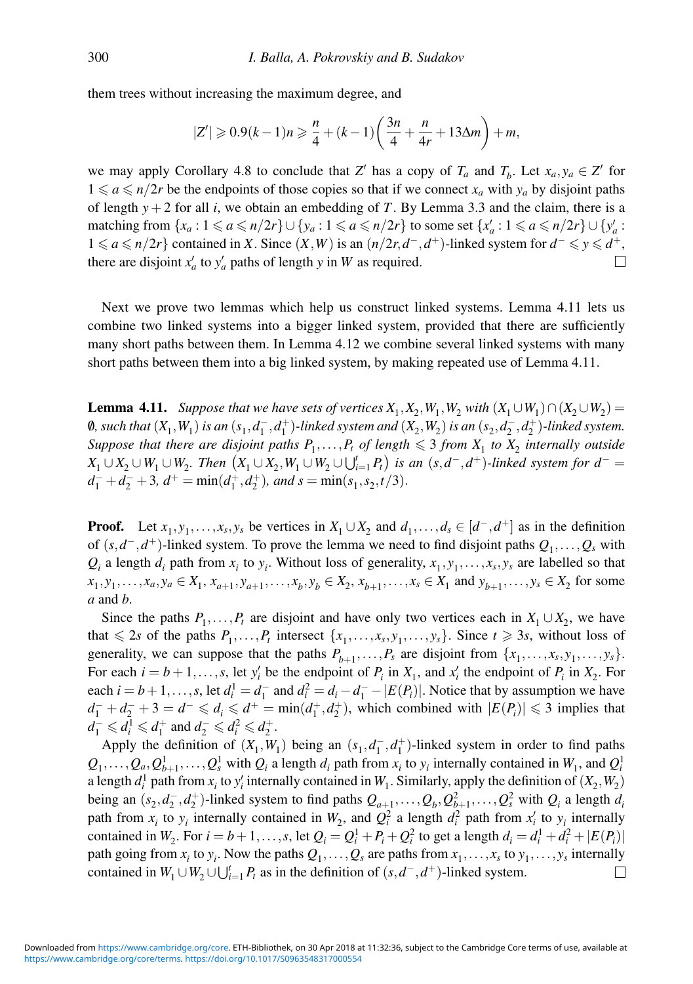them trees without increasing the maximum degree, and

$$
|Z'| \geqslant 0.9(k-1)n \geqslant \frac{n}{4} + (k-1)\left(\frac{3n}{4} + \frac{n}{4r} + 13\Delta m\right) + m,
$$

we may apply Corollary 4.8 to conclude that *Z'* has a copy of  $T_a$  and  $T_b$ . Let  $x_a, y_a \in Z'$  for  $1 \le a \le n/2r$  be the endpoints of those copies so that if we connect  $x_a$  with  $y_a$  by disjoint paths of length  $y + 2$  for all *i*, we obtain an embedding of *T*. By Lemma 3.3 and the claim, there is a matching from  $\{x_a : 1 \le a \le n/2r\} \cup \{y_a : 1 \le a \le n/2r\}$  to some set  $\{x'_a : 1 \le a \le n/2r\} \cup \{y'_a : 1 \le a \le n/2r\}$ 1 ≤ *a* ≤ *n*/2*r*} contained in *X*. Since  $(X, W)$  is an  $(n/2r, d^-, d^+)$ -linked system for  $d^- \le y \le d^+$ , there are disjoint  $x'_a$  to  $y'_a$  paths of length *y* in *W* as required.  $\Box$ 

Next we prove two lemmas which help us construct linked systems. Lemma 4.11 lets us combine two linked systems into a bigger linked system, provided that there are sufficiently many short paths between them. In Lemma 4.12 we combine several linked systems with many short paths between them into a big linked system, by making repeated use of Lemma 4.11.

**Lemma 4.11.** *Suppose that we have sets of vertices*  $X_1, X_2, W_1, W_2$  *with*  $(X_1 \cup W_1) \cap (X_2 \cup W_2) =$ 0, such that  $(X_1, W_1)$  is an  $(s_1, d_1^-, d_1^+)$ -linked system and  $(X_2, W_2)$  is an  $(s_2, d_2^-, d_2^+)$ -linked system. *Suppose that there are disjoint paths*  $P_1, \ldots, P_t$  *of length*  $\leq 3$  *from*  $X_1$  *to*  $X_2$  *internally outside*  $X_1 \cup X_2 \cup W_1 \cup W_2$ *. Then*  $(X_1 \cup X_2, W_1 \cup W_2 \cup \bigcup_{i=1}^{t} P_t)$  is an  $(s, d^-, d^+)$ *-linked system for*  $d^-$  =  $d_1^- + d_2^- + 3$ ,  $d^+ = \min(d_1^+, d_2^+)$ , and  $s = \min(s_1, s_2, t/3)$ .

**Proof.** Let  $x_1, y_1, \ldots, x_s, y_s$  be vertices in  $X_1 \cup X_2$  and  $d_1, \ldots, d_s \in [d^-, d^+]$  as in the definition of (*s*,*d*<sup>−</sup>,*d*+)-linked system. To prove the lemma we need to find disjoint paths *Q*1,...,*Qs* with  $Q_i$  a length  $d_i$  path from  $x_i$  to  $y_i$ . Without loss of generality,  $x_1, y_1, \ldots, x_s, y_s$  are labelled so that *x*<sub>1</sub>, *y*<sub>1</sub>,...,*x<sub>a</sub>*, *y<sub>a</sub>* ∈ *X*<sub>1</sub>, *x*<sub>*a*+1</sub>, *y*<sub>*a*+1</sub>,...,*x<sub>b</sub>*, *y*<sub>*b*</sub> ∈ *X*<sub>2</sub>, *x*<sub>*b*+1</sub>,...,*y*<sub>*s*</sub> ∈ *X*<sub>2</sub> for some *a* and *b*.

Since the paths  $P_1, \ldots, P_t$  are disjoint and have only two vertices each in  $X_1 \cup X_2$ , we have that  $\leq 2s$  of the paths  $P_1, \ldots, P_t$  intersect  $\{x_1, \ldots, x_s, y_1, \ldots, y_s\}$ . Since  $t \geq 3s$ , without loss of generality, we can suppose that the paths  $P_{b+1},...,P_s$  are disjoint from  $\{x_1,...,x_s, y_1,...,y_s\}$ . For each  $i = b + 1, \ldots, s$ , let  $y'_i$  be the endpoint of  $P_i$  in  $X_1$ , and  $x'_i$  the endpoint of  $P_i$  in  $X_2$ . For each  $i = b + 1, \ldots, s$ , let  $d_i^1 = d_1^-$  and  $d_i^2 = d_i - d_1^- - |E(P_i)|$ . Notice that by assumption we have  $d_1^- + d_2^- + 3 = d^- \leq d_i \leq d^+ = \min(d_1^+, d_2^+)$ , which combined with  $|E(P_i)| \leq 3$  implies that  $d_1^- \leq d_i^1 \leq d_1^+$  and  $d_2^- \leq d_i^2 \leq d_2^+$ .

Apply the definition of  $(X_1, W_1)$  being an  $(s_1, d_1^-, d_1^+)$ -linked system in order to find paths  $Q_1, \ldots, Q_a, Q_{b+1}^1, \ldots, Q_s^1$  with  $Q_i$  a length  $d_i$  path from  $x_i$  to  $y_i$  internally contained in  $W_1$ , and  $Q_i^1$ a length  $d_i^1$  path from  $x_i$  to  $y'_i$  internally contained in  $W_1$ . Similarly, apply the definition of  $(X_2, W_2)$ being an  $(s_2, d_2^-, d_2^+)$ -linked system to find paths  $Q_{a+1}, \ldots, Q_b, Q_{b+1}^2, \ldots, Q_s^2$  with  $Q_i$  a length  $d_i$ path from  $x_i$  to  $y_i$  internally contained in  $W_2$ , and  $Q_i^2$  a length  $d_i^2$  path from  $x'_i$  to  $y_i$  internally contained in  $W_2$ . For  $i = b + 1, \ldots, s$ , let  $Q_i = Q_i^1 + P_i + Q_i^2$  to get a length  $d_i = d_i^1 + d_i^2 + |E(P_i)|$ path going from  $x_i$  to  $y_i$ . Now the paths  $Q_1, \ldots, Q_s$  are paths from  $x_1, \ldots, x_s$  to  $y_1, \ldots, y_s$  internally contained in  $W_1 \cup W_2 \cup \bigcup_{i=1}^t P_t$  as in the definition of  $(s, d^-, d^+)$ -linked system.  $\Box$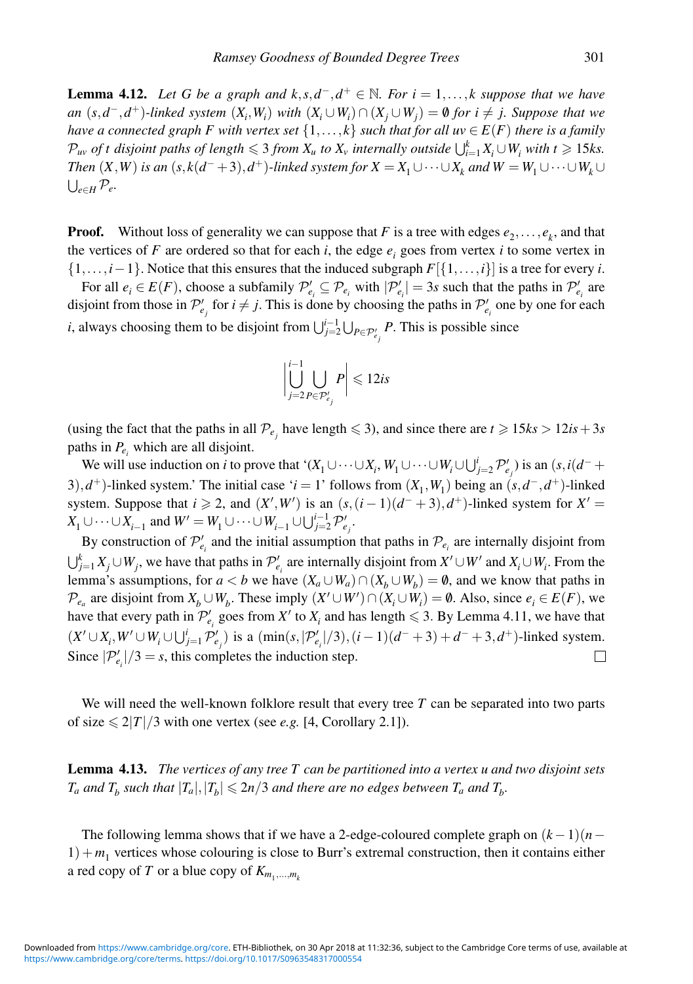**Lemma 4.12.** Let G be a graph and  $k, s, d^-, d^+ \in \mathbb{N}$ . For  $i = 1, \ldots, k$  suppose that we have *an*  $(s, d^-, d^+)$ -linked system  $(X_i, W_i)$  with  $(X_i \cup W_i) ∩ (X_j \cup W_j) = ∅$  for  $i ≠ j$ . Suppose that we *have a connected graph F with vertex set*  $\{1,\ldots,k\}$  *such that for all uv*  $\in E(F)$  *there is a family*  $\mathcal{P}_{uv}$  *of t disjoint paths of length*  $\leqslant 3$  *from*  $X_u$  *to*  $X_v$  *internally outside*  $\bigcup_{i=1}^k X_i \cup W_i$  *with*  $t \geqslant 15$ *ks. Then*  $(X, W)$  *is an*  $(s, k(d^- + 3), d^+)$ *-linked system for*  $X = X_1 \cup \cdots \cup X_k$  *and*  $W = W_1 \cup \cdots \cup W_k \cup$  $\bigcup_{e \in H} \mathcal{P}_e.$ 

**Proof.** Without loss of generality we can suppose that *F* is a tree with edges  $e_2, \ldots, e_k$ , and that the vertices of *F* are ordered so that for each *i*, the edge  $e_i$  goes from vertex *i* to some vertex in {1,...,*i*−1}. Notice that this ensures that the induced subgraph *F*[{1,...,*i*}] is a tree for every *i*.

For all  $e_i \in E(F)$ , choose a subfamily  $\mathcal{P}'_{e_i} \subseteq \mathcal{P}_{e_i}$  with  $|\mathcal{P}'_{e_i}| = 3s$  such that the paths in  $\mathcal{P}'_{e_i}$  are disjoint from those in  $\mathcal{P}'_{e_j}$  for  $i \neq j$ . This is done by choosing the paths in  $\mathcal{P}'_{e_i}$  one by one for each *i*, always choosing them to be disjoint from  $\bigcup_{j=2}^{i-1} \bigcup_{P \in \mathcal{P}'_{e_j}} P$ . This is possible since

$$
\left|\bigcup_{j=2}^{i-1}\bigcup_{P\in\mathcal{P}'_{e_j}}P\right|\leqslant 12is
$$

(using the fact that the paths in all  $\mathcal{P}_{e_j}$  have length  $\leq 3$ ), and since there are  $t \geq 15$ *ks* > 12*is* + 3*s* paths in  $P_e$ , which are all disjoint.

We will use induction on *i* to prove that ' $(X_1 \cup \cdots \cup X_i, W_1 \cup \cdots \cup W_i \cup \bigcup_{j=2}^i \mathcal{P}'_{e_j}$  is an  $(s, i(d^- +$ 3),*d*<sup>+</sup>)-linked system.' The initial case '*i* = 1' follows from  $(X_1, W_1)$  being an  $(s, d<sup>−</sup>, d<sup>+</sup>)$ -linked system. Suppose that  $i \ge 2$ , and  $(X', W')$  is an  $(s, (i-1)(d^- + 3), d^+)$ -linked system for  $X' =$ *X*<sub>1</sub> ∪ ···∪*X*<sub>*i*−1</sub> and *W'* = *W*<sub>1</sub> ∪ ···∪*W*<sub>*i*−1</sub> ∪ ∪<sup>*i*<sup>-1</sup></del></sup> $\sum_{j=2}^{i}$ *P*<sup>*e*</sup><sub>*j*</sub>.

By construction of  $\mathcal{P}'_{e_i}$  and the initial assumption that paths in  $\mathcal{P}_{e_i}$  are internally disjoint from  $\bigcup_{j=1}^{k} X_j \cup W_j$ , we have that paths in  $\mathcal{P}'_{e_i}$  are internally disjoint from  $X' \cup W'$  and  $X_i \cup W_i$ . From the lemma's assumptions, for  $a < b$  we have  $(X_a \cup W_a) \cap (X_b \cup W_b) = \emptyset$ , and we know that paths in *P*<sub>ea</sub> are disjoint from  $X_b$  ∪*W<sub>b</sub>*. These imply  $(X' \cup W') \cap (X_i \cup W_i) = \emptyset$ . Also, since  $e_i \in E(F)$ , we have that every path in  $\mathcal{P}'_{e_i}$  goes from  $X'$  to  $X_i$  and has length  $\leq 3$ . By Lemma 4.11, we have that  $(X' \cup X_i, W' \cup W_i \cup \bigcup_{j=1}^i \mathcal{P}'_{e_j})$  is a  $(\min(s, |\mathcal{P}'_{e_i}|/3), (i-1)(d^- + 3) + d^- + 3, d^+)$ -linked system. Since  $|\mathcal{P}'_{e_i}|/3 = s$ , this completes the induction step.  $\Box$ 

We will need the well-known folklore result that every tree T can be separated into two parts of size  $\leq 2|T|/3$  with one vertex (see *e.g.* [4, Corollary 2.1]).

**Lemma 4.13.** *The vertices of any tree T can be partitioned into a vertex u and two disjoint sets*  $T_a$  and  $T_b$  such that  $|T_a|, |T_b| \leqslant 2n/3$  and there are no edges between  $T_a$  and  $T_b$ .

The following lemma shows that if we have a 2-edge-coloured complete graph on (*k*−1)(*n*−  $1) + m<sub>1</sub>$  vertices whose colouring is close to Burr's extremal construction, then it contains either a red copy of *T* or a blue copy of  $K_{m_1,...,m_k}$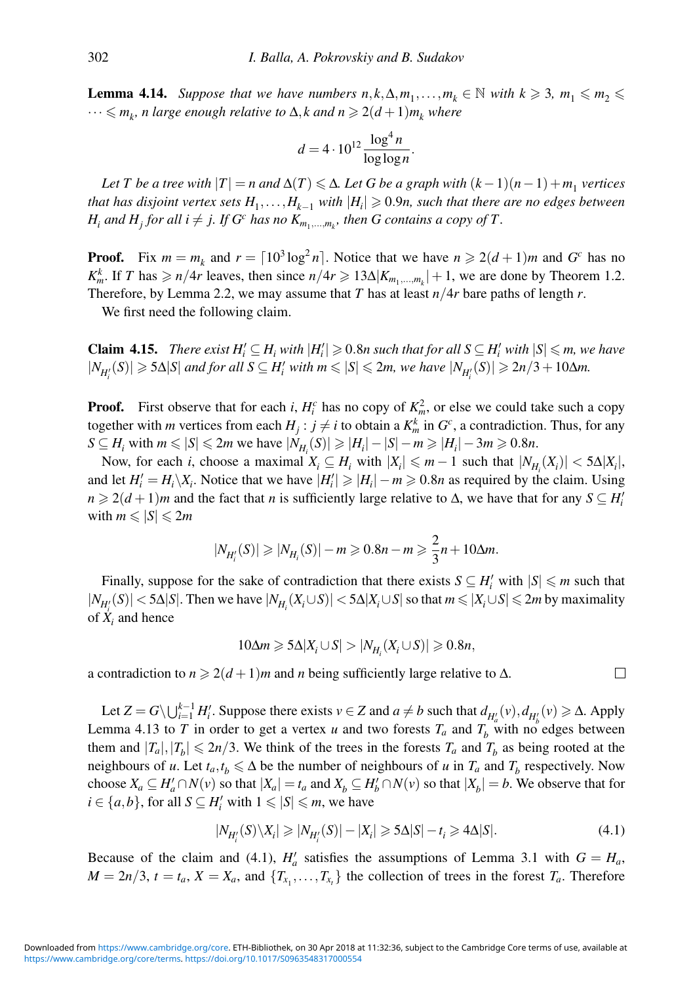**Lemma 4.14.** *Suppose that we have numbers*  $n, k, \Delta, m_1, \ldots, m_k \in \mathbb{N}$  *with*  $k \geq 3$ ,  $m_1 \leq m_2 \leq$  $\cdots \leqslant m_k$ , n large enough relative to  $\Delta$ , k and  $n \geqslant 2(d+1) m_k$  where

$$
d = 4 \cdot 10^{12} \frac{\log^4 n}{\log \log n}.
$$

Let T be a tree with  $|T| = n$  and  $\Delta(T) \leq \Delta$ . Let G be a graph with  $(k-1)(n-1) + m_1$  vertices *that has disjoint vertex sets*  $H_1, \ldots, H_{k-1}$  *with*  $|H_i| \geqslant 0.9$ *n, such that there are no edges between*  $H_i$  *and*  $H_j$  *for all*  $i \neq j$ *. If*  $G^c$  *has no*  $K_{m_1,...,m_k}$ *, then*  $G$  *contains a copy of*  $T$ *.* 

**Proof.** Fix  $m = m_k$  and  $r = \lceil 10^3 \log^2 n \rceil$ . Notice that we have  $n \geq 2(d+1)m$  and  $G^c$  has no *K*<sup>*k*</sup></sup>. If *T* has  $\ge n/4r$  leaves, then since  $n/4r \ge 13\Delta |K_{m_1,...,m_k}|+1$ , we are done by Theorem 1.2. Therefore, by Lemma 2.2, we may assume that *T* has at least  $n/4r$  bare paths of length *r*.

We first need the following claim.

**Claim 4.15.** *There exist*  $H'_i \subseteq H_i$  *with*  $|H'_i| \ge 0.8n$  *such that for all*  $S \subseteq H'_i$  *with*  $|S| \le m$ *, we have*  $|N_{H_i'}(S)| \geqslant 5\Delta|S|$  and for all  $S \subseteq H_i'$  with  $m \leqslant |S| \leqslant 2m$ , we have  $|N_{H_i'}(S)| \geqslant 2n/3+10\Delta m$ .

**Proof.** First observe that for each *i*,  $H_i^c$  has no copy of  $K_m^2$ , or else we could take such a copy together with *m* vertices from each  $H_j : j \neq i$  to obtain a  $K_m^k$  in  $G^c$ , a contradiction. Thus, for any  $S \subseteq H_i$  with  $m \le |S| \le 2m$  we have  $|N_{H_i}(S)| \ge |H_i| - |S| - m \ge |H_i| - 3m \ge 0.8n$ .

Now, for each *i*, choose a maximal  $X_i \subseteq H_i$  with  $|X_i| \le m - 1$  such that  $|N_{H_i}(X_i)| < 5\Delta |X_i|$ , and let  $H'_i = H_i \setminus X_i$ . Notice that we have  $|H'_i| \ge |H_i| - m \ge 0.8n$  as required by the claim. Using  $n \geq 2(d+1)m$  and the fact that *n* is sufficiently large relative to  $\Delta$ , we have that for any  $S \subseteq H_i^i$ with  $m \leqslant |S| \leqslant 2m$ 

$$
|N_{H'_i}(S)| \ge |N_{H_i}(S)| - m \ge 0.8n - m \ge \frac{2}{3}n + 10\Delta m.
$$

Finally, suppose for the sake of contradiction that there exists  $S \subseteq H'_i$  with  $|S| \le m$  such that  $|N_{H_i'}(S)| < 5\Delta|S|$ . Then we have  $|N_{H_i}(X_i\cup S)| < 5\Delta|X_i\cup S|$  so that  $m \leqslant |X_i\cup S| \leqslant 2m$  by maximality of  $\dot{X}_i$  and hence

$$
10\Delta m \geqslant 5\Delta |X_i \cup S| > |N_{H_i}(X_i \cup S)| \geqslant 0.8n,
$$

a contradiction to  $n \geq 2(d+1)m$  and *n* being sufficiently large relative to  $\Delta$ .

Let  $Z = G \setminus \bigcup_{i=1}^{k-1} H_i'$ . Suppose there exists  $v \in Z$  and  $a \neq b$  such that  $d_{H'_a}(v), d_{H'_b}(v) \ge \Delta$ . Apply Lemma 4.13 to *T* in order to get a vertex *u* and two forests  $T_a$  and  $T_b$  with no edges between them and  $|T_a|, |T_b| \le 2n/3$ . We think of the trees in the forests  $T_a$  and  $T_b$  as being rooted at the neighbours of *u*. Let  $t_a, t_b \leq \Delta$  be the number of neighbours of *u* in  $T_a$  and  $T_b$  respectively. Now choose  $X_a \subseteq H'_a \cap N(v)$  so that  $|X_a| = t_a$  and  $X_b \subseteq H'_b \cap N(v)$  so that  $|X_b| = b$ . We observe that for  $i \in \{a, b\}$ , for all  $S \subseteq H_i'$  with  $1 \leq |S| \leq m$ , we have

$$
|N_{H_i'}(S)\backslash X_i| \ge |N_{H_i'}(S)| - |X_i| \ge 5\Delta|S| - t_i \ge 4\Delta|S|.
$$
\n
$$
(4.1)
$$

 $\Box$ 

Because of the claim and (4.1),  $H'_a$  satisfies the assumptions of Lemma 3.1 with  $G = H_a$ ,  $M = 2n/3$ ,  $t = t_a$ ,  $X = X_a$ , and  $\{T_{x_1}, \ldots, T_{x_t}\}$  the collection of trees in the forest  $T_a$ . Therefore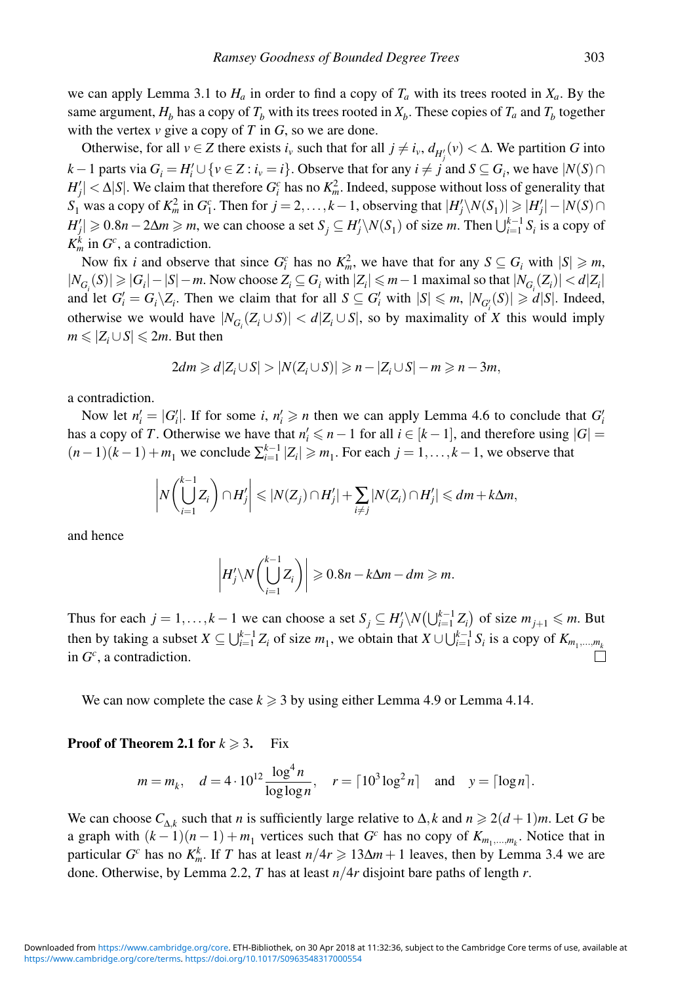we can apply Lemma 3.1 to  $H_a$  in order to find a copy of  $T_a$  with its trees rooted in  $X_a$ . By the same argument,  $H_b$  has a copy of  $T_b$  with its trees rooted in  $X_b$ . These copies of  $T_a$  and  $T_b$  together with the vertex  $\nu$  give a copy of  $T$  in  $G$ , so we are done.

Otherwise, for all  $v \in Z$  there exists  $i_v$  such that for all  $j \neq i_v$ ,  $d_{H'_j}(v) < \Delta$ . We partition *G* into *k* − 1 parts via  $G_i = H'_i \cup \{v \in \mathbb{Z} : i_v = i\}$ . Observe that for any  $i \neq j$  and  $S \subseteq G_i$ , we have  $|N(S) \cap I$  $H'_{j}| < \Delta |S|$ . We claim that therefore  $G_i^c$  has no  $K_m^2$ . Indeed, suppose without loss of generality that *S*<sub>1</sub> was a copy of  $K_m^2$  in  $G_1^c$ . Then for *j* = 2,...,*k*−1, observing that  $|H'_j \setminus N(S_1)| \ge |H'_j| - |N(S) \cap$  $H'_{j}$   $\geq 0.8n - 2\Delta m \geq m$ , we can choose a set  $S_{j} \subseteq H'_{j} \setminus N(S_{1})$  of size *m*. Then  $\bigcup_{i=1}^{k-1} S_{i}$  is a copy of  $K_m^k$  in  $G^c$ , a contradiction.

Now fix *i* and observe that since  $G_i^c$  has no  $K_m^2$ , we have that for any  $S \subseteq G_i$  with  $|S| \ge m$ ,  $|N_{G_i}(S)|$  ≥  $|G_i|$  −  $|S|$  − *m*. Now choose  $Z_i$  ⊆  $G_i$  with  $|Z_i|$  ≤ *m* − 1 maximal so that  $|N_{G_i}(Z_i)|$  < *d*| $Z_i$ | and let  $G_i' = G_i \setminus Z_i$ . Then we claim that for all  $S \subseteq G_i'$  with  $|S| \le m$ ,  $|N_{G_i'}(S)| \ge d|S|$ . Indeed, otherwise we would have  $|N_{G_i}(Z_i \cup S)| < d|Z_i \cup S|$ , so by maximality of *X* this would imply  $m \leqslant |Z_i \cup S| \leqslant 2m$ . But then

$$
2dm \geq d|Z_i \cup S| > |N(Z_i \cup S)| \geq n - |Z_i \cup S| - m \geq n - 3m,
$$

a contradiction.

Now let  $n'_i = |G'_i|$ . If for some *i*,  $n'_i \ge n$  then we can apply Lemma 4.6 to conclude that  $G'_i$ has a copy of *T*. Otherwise we have that  $n'_i \leq n-1$  for all  $i \in [k-1]$ , and therefore using  $|G| =$  $(n-1)(k-1) + m_1$  we conclude  $\sum_{i=1}^{k-1} |Z_i| \geq m_1$ . For each  $j = 1, ..., k-1$ , we observe that

$$
\left|N\left(\bigcup_{i=1}^{k-1}Z_i\right)\cap H'_j\right|\leqslant |N(Z_j)\cap H'_j|+\sum_{i\neq j}|N(Z_i)\cap H'_j|\leqslant dm+k\Delta m,
$$

and hence

$$
\left|H'_j\backslash N\left(\bigcup_{i=1}^{k-1}Z_i\right)\right|\geqslant 0.8n-k\Delta m-dm\geqslant m.
$$

Thus for each  $j = 1, ..., k - 1$  we can choose a set  $S_j \subseteq H'_j \setminus N(\bigcup_{i=1}^{k-1} Z_i)$  of size  $m_{j+1} \leq m$ . But then by taking a subset  $X \subseteq \bigcup_{i=1}^{k-1} Z_i$  of size  $m_1$ , we obtain that  $X \cup \bigcup_{i=1}^{k-1} S_i$  is a copy of  $K_{m_1,...,m_k}$ in *Gc* , a contradiction.

We can now complete the case  $k \geq 3$  by using either Lemma 4.9 or Lemma 4.14.

#### **Proof of Theorem 2.1 for**  $k \ge 3$ . Fix

$$
m = m_k
$$
,  $d = 4 \cdot 10^{12} \frac{\log^4 n}{\log \log n}$ ,  $r = \lceil 10^3 \log^2 n \rceil$  and  $y = \lceil \log n \rceil$ .

We can choose  $C_{\Lambda,k}$  such that *n* is sufficiently large relative to  $\Delta, k$  and  $n \geq 2(d+1)m$ . Let *G* be a graph with  $(k-1)(n-1) + m_1$  vertices such that *G<sup>c</sup>* has no copy of  $K_{m_1,...,m_k}$ . Notice that in particular *G<sup>c</sup>* has no  $K_m^k$ . If *T* has at least  $n/4r \geq 13\Delta m + 1$  leaves, then by Lemma 3.4 we are done. Otherwise, by Lemma 2.2, *T* has at least *n*/4*r* disjoint bare paths of length *r*.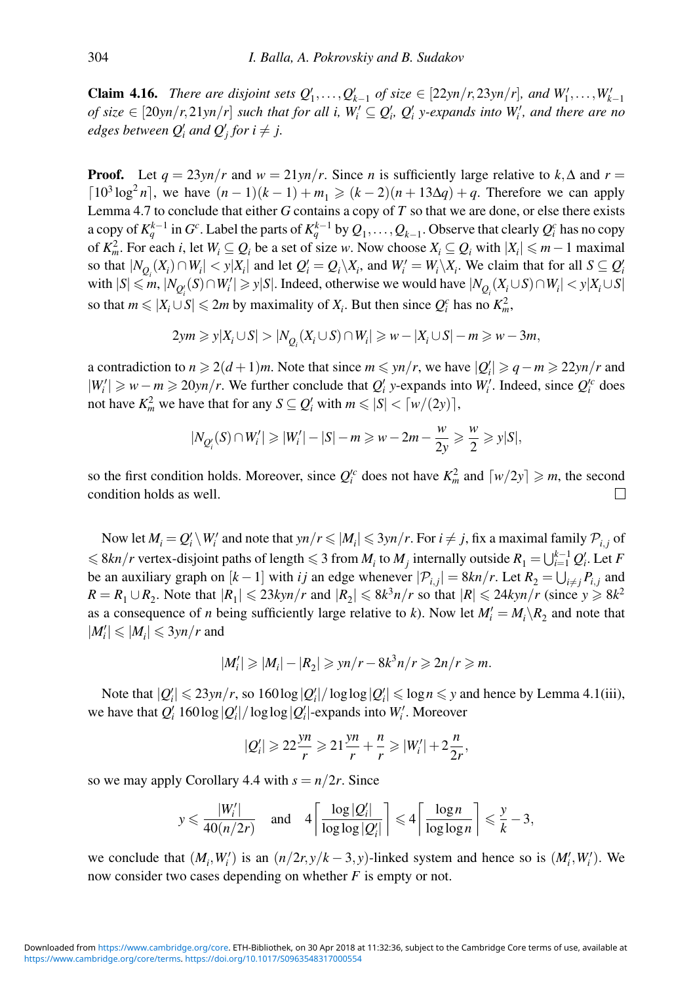**Claim 4.16.** *There are disjoint sets*  $Q'_1, \ldots, Q'_{k-1}$  *of size* ∈ [22*yn*/*r*,23*yn*/*r*]*, and*  $W'_1, \ldots, W'_{k-1}$  $of size \in [20yn/r, 21yn/r]$  such that for all i,  $W'_i \subseteq Q'_i$ ,  $Q'_i$  y-expands into  $W'_i$ , and there are no *edges between*  $Q'_i$  *and*  $Q'_j$  *for*  $i \neq j$ .

**Proof.** Let  $q = 23y n/r$  and  $w = 21y n/r$ . Since *n* is sufficiently large relative to  $k, \Delta$  and  $r =$  $\lceil 10^3 \log^2 n \rceil$ , we have  $(n-1)(k-1) + m_1 \geq (k-2)(n+13\Delta q) + q$ . Therefore we can apply Lemma 4.7 to conclude that either *G* contains a copy of *T* so that we are done, or else there exists a copy of  $K_q^{k-1}$  in  $G^c$ . Label the parts of  $K_q^{k-1}$  by  $Q_1,\ldots,Q_{k-1}.$  Observe that clearly  $Q_i^c$  has no copy of  $K_m^2$ . For each *i*, let  $W_i \subseteq Q_i$  be a set of size *w*. Now choose  $X_i \subseteq Q_i$  with  $|X_i| \le m - 1$  maximal so that  $|N_{Q_i}(X_i) \cap W_i| < y|X_i|$  and let  $Q_i' = Q_i \setminus X_i$ , and  $W_i' = W_i \setminus X_i$ . We claim that for all  $S \subseteq Q_i'$  $\text{with } |S| \le m, |N_{Q_i'}(S) \cap W_i'| \ge y|S|$ . Indeed, otherwise we would have  $|N_{Q_i}(X_i \cup S) \cap W_i| < y|X_i \cup S|$ so that  $m \le |X_i \cup S| \le 2m$  by maximality of  $X_i$ . But then since  $Q_i^c$  has no  $K_m^2$ ,

$$
2ym \geqslant y|X_i \cup S| > |N_{Q_i}(X_i \cup S) \cap W_i| \geqslant w - |X_i \cup S| - m \geqslant w - 3m,
$$

a contradiction to  $n \ge 2(d+1)m$ . Note that since  $m \le yn/r$ , we have  $|Q_i| \ge q - m \ge 22yn/r$  and  $|W'_i|$  ≥  $w - m$  ≥ 20*yn*/*r*. We further conclude that  $Q'_i$  *y*-expands into  $W'_i$ . Indeed, since  $Q'_i$  does not have  $K_m^2$  we have that for any  $S \subseteq Q_i'$  with  $m \leq |S| < \lceil w/(2y) \rceil$ ,

$$
|N_{Q_i'}(S) \cap W_i'| \geq |W_i'| - |S| - m \geq w - 2m - \frac{w}{2y} \geq \frac{w}{2} \geq y|S|,
$$

so the first condition holds. Moreover, since  $Q_i^c$  does not have  $K_m^2$  and  $\lceil w/2y \rceil \geq m$ , the second condition holds as well.

Now let  $M_i = Q'_i \setminus W'_i$  and note that  $yn/r \leq M_i \leq 3yn/r$ . For  $i \neq j$ , fix a maximal family  $\mathcal{P}_{i,j}$  of  $\leq 8kn/r$  vertex-disjoint paths of length  $\leq 3$  from  $M_i$  to  $M_j$  internally outside  $R_1 = \bigcup_{i=1}^{k-1} Q_i'$ . Let *F* be an auxiliary graph on  $[k-1]$  with *i j* an edge whenever  $|\mathcal{P}_{i,j}| = 8kn/r$ . Let  $R_2 = \bigcup_{i \neq j} P_{i,j}$  and  $R = R_1 \cup R_2$ . Note that  $|R_1| \le 23kyn/r$  and  $|R_2| \le 8k^3n/r$  so that  $|R| \le 24kyn/r$  (since  $y \ge 8k^2$ as a consequence of *n* being sufficiently large relative to *k*). Now let  $M_i' = M_i \setminus R_2$  and note that  $|M'_i| \leqslant |M_i| \leqslant 3yn/r$  and

$$
|M'_i| \geq |M_i| - |R_2| \geqslant \frac{y}{r} - 8k^3n/r \geqslant 2n/r \geqslant m.
$$

Note that  $|Q_i'|\leq 23yn/r$ , so  $160\log|Q_i'|/\log\log|Q_i'|\leq \log n \leq y$  and hence by Lemma 4.1(iii), we have that  $Q_i'$  160 log  $|Q_i'|$  / log log  $|Q_i'|$ -expands into  $W_i'$ . Moreover

$$
|Q'_i| \geqslant 22\frac{yn}{r} \geqslant 21\frac{yn}{r} + \frac{n}{r} \geqslant |W'_i| + 2\frac{n}{2r},
$$

so we may apply Corollary 4.4 with  $s = n/2r$ . Since

$$
y \leqslant \frac{|W_i'|}{40(n/2r)} \quad \text{and} \quad 4\left\lceil \frac{\log |Q_i'|}{\log \log |Q_i'|} \right\rceil \leqslant 4\left\lceil \frac{\log n}{\log \log n} \right\rceil \leqslant \frac{y}{k} - 3,
$$

we conclude that  $(M_i, W'_i)$  is an  $(n/2r, y/k - 3, y)$ -linked system and hence so is  $(M'_i, W'_i)$ . We now consider two cases depending on whether *F* is empty or not.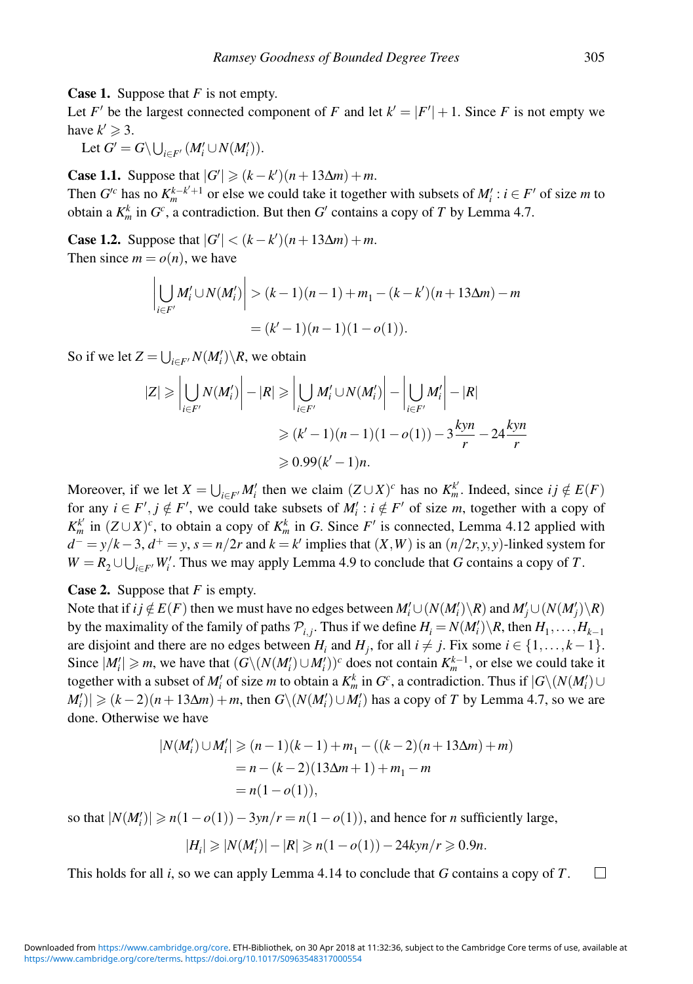**Case 1.** Suppose that *F* is not empty.

Let *F'* be the largest connected component of *F* and let  $k' = |F'| + 1$ . Since *F* is not empty we have  $k' \geqslant 3$ .

Let  $G' = G \setminus \bigcup_{i \in F'} (M'_i \cup N(M'_i)).$ 

**Case 1.1.** Suppose that  $|G'| \geq (k - k')(n + 13\Delta m) + m$ .

Then  $G'^c$  has no  $K_m^{k-k'+1}$  or else we could take it together with subsets of  $M'_i : i \in F'$  of size *m* to obtain a  $K_m^k$  in  $G^c$ , a contradiction. But then  $G'$  contains a copy of  $T$  by Lemma 4.7.

**Case 1.2.** Suppose that  $|G'| < (k - k')(n + 13\Delta m) + m$ . Then since  $m = o(n)$ , we have

$$
\left| \bigcup_{i \in F'} M'_i \cup N(M'_i) \right| > (k-1)(n-1) + m_1 - (k - k')(n + 13\Delta m) - m
$$
\n
$$
= (k'-1)(n-1)(1-o(1)).
$$

So if we let  $Z = \bigcup_{i \in F'} N(M'_i) \backslash R$ , we obtain

$$
|Z| \geq \left| \bigcup_{i \in F'} N(M'_i) \right| - |R| \geq \left| \bigcup_{i \in F'} M'_i \cup N(M'_i) \right| - \left| \bigcup_{i \in F'} M'_i \right| - |R|
$$
  
 
$$
\geq (k'-1)(n-1)(1-o(1)) - 3\frac{kyn}{r} - 24\frac{kyn}{r}
$$
  
\n
$$
\geq 0.99(k'-1)n.
$$

Moreover, if we let  $X = \bigcup_{i \in F'} M'_i$  then we claim  $(Z \cup X)^c$  has no  $K_m^{k'}$ . Indeed, since  $ij \notin E(F)$ for any  $i \in F', j \notin F'$ , we could take subsets of  $M'_i : i \notin F'$  of size *m*, together with a copy of  $K_m^k$  in  $(Z \cup X)^c$ , to obtain a copy of  $K_m^k$  in *G*. Since *F*' is connected, Lemma 4.12 applied with  $d^+ = y/k - 3$ ,  $d^+ = y$ ,  $s = n/2r$  and  $k = k'$  implies that  $(X, W)$  is an  $(n/2r, y, y)$ -linked system for  $W = R_2 \cup \bigcup_{i \in F'} W'_i$ . Thus we may apply Lemma 4.9 to conclude that *G* contains a copy of *T*.

**Case 2.** Suppose that *F* is empty.

Note that if  $ij \notin E(F)$  then we must have no edges between  $M'_i \cup (N(M'_i) \backslash R)$  and  $M'_j \cup (N(M'_j) \backslash R)$ by the maximality of the family of paths  $\mathcal{P}_{i,j}$ . Thus if we define  $H_i = N(M'_i) \setminus R$ , then  $H_1, \ldots, H_{k-1}$ are disjoint and there are no edges between  $H_i$  and  $H_j$ , for all  $i \neq j$ . Fix some  $i \in \{1, ..., k-1\}$ . Since  $|M'_i| \ge m$ , we have that  $(G\setminus (N(M'_i) \cup M'_i))^c$  does not contain  $K_m^{k-1}$ , or else we could take it together with a subset of  $M'_i$  of size *m* to obtain a  $K_m^k$  in  $G^c$ , a contradiction. Thus if  $|G \setminus (N(M'_i) \cup$  $|M'_i\rangle| \geq (k-2)(n+13\Delta m) + m$ , then  $G\setminus (N(M'_i) \cup M'_i)$  has a copy of *T* by Lemma 4.7, so we are done. Otherwise we have

$$
|N(M'_i) \cup M'_i| \ge (n-1)(k-1) + m_1 - ((k-2)(n+13\Delta m) + m)
$$
  
=  $n - (k-2)(13\Delta m + 1) + m_1 - m$   
=  $n(1 - o(1)),$ 

so that  $|N(M_i')| \ge n(1 - o(1)) - 3yn/r = n(1 - o(1))$ , and hence for *n* sufficiently large,

$$
|H_i|\geqslant |N(M_i')|-|R|\geqslant n(1-o(1))-24kyn/r\geqslant 0.9n.
$$

This holds for all *i*, so we can apply Lemma 4.14 to conclude that *G* contains a copy of *T*.  $\Box$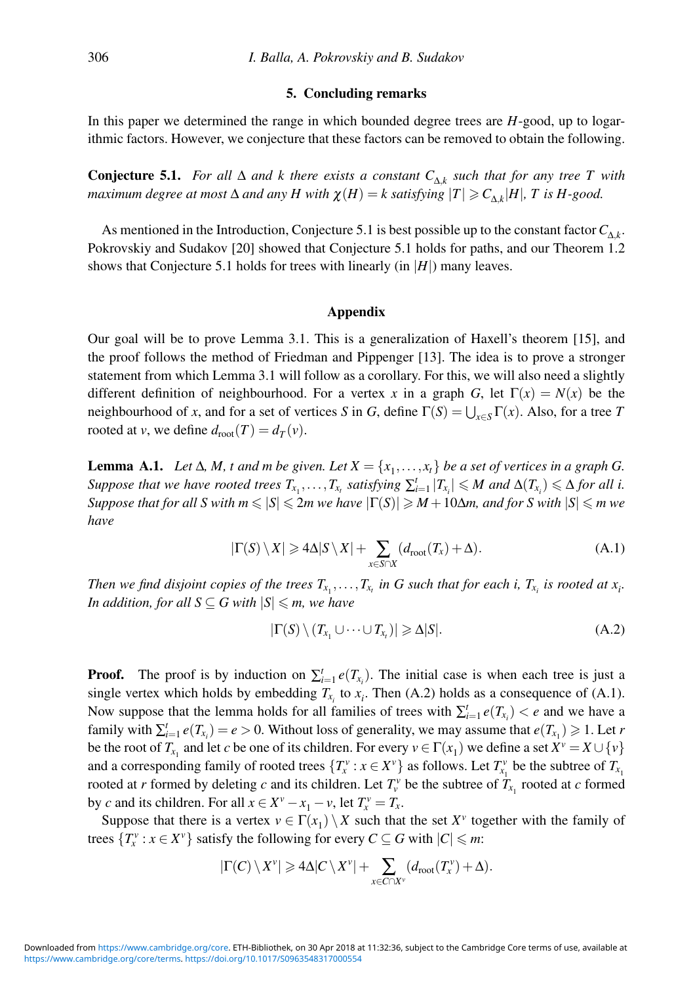## **5. Concluding remarks**

In this paper we determined the range in which bounded degree trees are *H*-good, up to logarithmic factors. However, we conjecture that these factors can be removed to obtain the following.

**Conjecture 5.1.** *For all*  $\Delta$  *and k there exists a constant*  $C_{\Delta,k}$  *such that for any tree* T *with maximum degree at most*  $\Delta$  *and any*  $H$  *with*  $\chi(H) = k$  *satisfying*  $|T| \ge C_{\Delta k} |H|$ ,  $T$  *is*  $H$ -good.

As mentioned in the Introduction, Conjecture 5.1 is best possible up to the constant factor  $C_{\Delta k}$ . Pokrovskiy and Sudakov [20] showed that Conjecture 5.1 holds for paths, and our Theorem 1.2 shows that Conjecture 5.1 holds for trees with linearly (in  $|H|$ ) many leaves.

#### **Appendix**

Our goal will be to prove Lemma 3.1. This is a generalization of Haxell's theorem [15], and the proof follows the method of Friedman and Pippenger [13]. The idea is to prove a stronger statement from which Lemma 3.1 will follow as a corollary. For this, we will also need a slightly different definition of neighbourhood. For a vertex x in a graph *G*, let  $\Gamma(x) = N(x)$  be the neighbourhood of *x*, and for a set of vertices *S* in *G*, define  $\Gamma(S) = \bigcup_{x \in S} \Gamma(x)$ . Also, for a tree *T* rooted at *v*, we define  $d_{\text{root}}(T) = d_T(v)$ .

**Lemma A.1.** *Let*  $\Delta$ *, M, t and m be given. Let*  $X = \{x_1, \ldots, x_t\}$  *be a set of vertices in a graph G. Suppose that we have rooted trees*  $T_{x_1}, \ldots, T_{x_t}$  *satisfying*  $\sum_{i=1}^t |T_{x_i}| \leqslant M$  *and*  $\Delta(T_{x_i}) \leqslant \Delta$  *for all i.*  $Suppose$  that for all  $S$  with  $m \leqslant |S| \leqslant 2m$  we have  $|\Gamma(S)| \geqslant M+10\Delta m,$  and for  $S$  with  $|S| \leqslant m$  we *have*

$$
|\Gamma(S) \setminus X| \ge 4\Delta|S \setminus X| + \sum_{x \in S \cap X} (d_{\text{root}}(T_x) + \Delta). \tag{A.1}
$$

*Then we find disjoint copies of the trees*  $T_{x_1}, \ldots, T_{x_t}$  *in G such that for each i,*  $T_{x_i}$  *is rooted at*  $x_i$ *. In addition, for all S*  $\subseteq$  *G with*  $|S|$  $\leqslant$  *m, we have* 

$$
|\Gamma(S) \setminus (T_{x_1} \cup \dots \cup T_{x_t})| \geq \Delta |S|.
$$
 (A.2)

**Proof.** The proof is by induction on  $\sum_{i=1}^{t} e(T_{x_i})$ . The initial case is when each tree is just a single vertex which holds by embedding  $T_{x_i}$  to  $x_i$ . Then (A.2) holds as a consequence of (A.1). Now suppose that the lemma holds for all families of trees with  $\sum_{i=1}^{t} e(T_{x_i}) < e$  and we have a family with  $\sum_{i=1}^{t} e(T_{x_i}) = e > 0$ . Without loss of generality, we may assume that  $e(T_{x_1}) \geq 1$ . Let *r* be the root of  $T_{x_1}$  and let *c* be one of its children. For every  $v \in \Gamma(x_1)$  we define a set  $X^v = X \cup \{v\}$ and a corresponding family of rooted trees  $\{T_x^v : x \in X^v\}$  as follows. Let  $T_{x_1}^v$  be the subtree of  $T_{x_1}$ rooted at *r* formed by deleting *c* and its children. Let  $T_v^v$  be the subtree of  $T_{x_1}$  rooted at *c* formed by *c* and its children. For all  $x \in X^{\nu} - x_1 - \nu$ , let  $T_x^{\nu} = T_x$ .

Suppose that there is a vertex  $v \in \Gamma(x_1) \setminus X$  such that the set  $X^v$  together with the family of trees  $\{T_x^v : x \in X^v\}$  satisfy the following for every  $C \subseteq G$  with  $|C| \le m$ :

$$
|\Gamma(C)\setminus X^{\nu}|\geqslant 4\Delta|C\setminus X^{\nu}|+\sum_{x\in C\cap X^{\nu}}(d_{\text{root}}(T_x^{\nu})+\Delta).
$$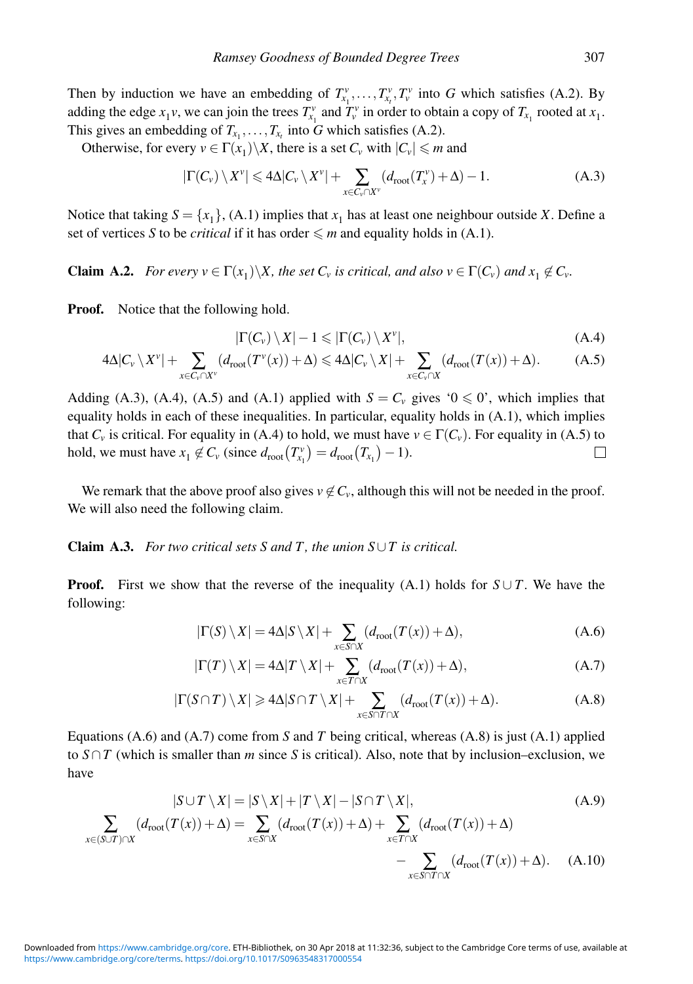Then by induction we have an embedding of  $T_{x_1}^v, \ldots, T_{x_t}^v, T_v^v$  into *G* which satisfies (A.2). By adding the edge  $x_1v$ , we can join the trees  $T_{x_1}^v$  and  $T_v^v$  in order to obtain a copy of  $T_{x_1}$  rooted at  $x_1$ . This gives an embedding of  $T_{x_1}, \ldots, T_{x_t}$  into *G* which satisfies (A.2).

Otherwise, for every  $v \in \Gamma(x_1) \backslash X$ , there is a set  $C_v$  with  $|C_v| \le m$  and

$$
|\Gamma(C_v) \setminus X^v| \leq 4\Delta |C_v \setminus X^v| + \sum_{x \in C_v \cap X^v} (d_{\text{root}}(T_x^v) + \Delta) - 1.
$$
 (A.3)

Notice that taking  $S = \{x_1\}$ , (A.1) implies that  $x_1$  has at least one neighbour outside *X*. Define a set of vertices *S* to be *critical* if it has order  $\leq m$  and equality holds in (A.1).

**Claim A.2.** *For every*  $v \in \Gamma(x_1) \backslash X$ *, the set*  $C_v$  *is critical, and also*  $v \in \Gamma(C_v)$  *and*  $x_1 \notin C_v$ *.* 

**Proof.** Notice that the following hold.

$$
|\Gamma(C_v)\setminus X|-1\leqslant |\Gamma(C_v)\setminus X^v|,\tag{A.4}
$$

$$
4\Delta |C_{\nu} \setminus X^{\nu}| + \sum_{x \in C_{\nu} \cap X^{\nu}} (d_{\text{root}}(T^{\nu}(x)) + \Delta) \leq 4\Delta |C_{\nu} \setminus X| + \sum_{x \in C_{\nu} \cap X} (d_{\text{root}}(T(x)) + \Delta). \tag{A.5}
$$

Adding (A.3), (A.4), (A.5) and (A.1) applied with  $S = C_v$  gives ' $0 \le 0$ ', which implies that equality holds in each of these inequalities. In particular, equality holds in (A.1), which implies that  $C_v$  is critical. For equality in (A.4) to hold, we must have  $v \in \Gamma(C_v)$ . For equality in (A.5) to hold, we must have  $x_1 \notin C_\nu$  (since  $d_{\text{root}}(T_{x_1}^\nu) = d_{\text{root}}(T_{x_1}) - 1$ ).  $\Box$ 

We remark that the above proof also gives  $v \notin C_v$ , although this will not be needed in the proof. We will also need the following claim.

# **Claim A.3.** *For two critical sets S and T , the union S*∪*T is critical.*

**Proof.** First we show that the reverse of the inequality (A.1) holds for  $S \cup T$ . We have the following:

$$
|\Gamma(S) \setminus X| = 4\Delta|S \setminus X| + \sum_{x \in S \cap X} (d_{\text{root}}(T(x)) + \Delta),
$$
 (A.6)

$$
|\Gamma(T) \setminus X| = 4\Delta |T \setminus X| + \sum_{x \in T \cap X} (d_{\text{root}}(T(x)) + \Delta),
$$
 (A.7)

$$
|\Gamma(S \cap T) \setminus X| \ge 4\Delta |S \cap T \setminus X| + \sum_{x \in S \cap T \cap X} (d_{\text{root}}(T(x)) + \Delta). \tag{A.8}
$$

Equations (A.6) and (A.7) come from *S* and *T* being critical, whereas (A.8) is just (A.1) applied to  $S \cap T$  (which is smaller than *m* since *S* is critical). Also, note that by inclusion–exclusion, we have

$$
|S \cup T \setminus X| = |S \setminus X| + |T \setminus X| - |S \cap T \setminus X|,\tag{A.9}
$$

$$
\sum_{x \in (S \cup T) \cap X} (d_{\text{root}}(T(x)) + \Delta) = \sum_{x \in S \cap X} (d_{\text{root}}(T(x)) + \Delta) + \sum_{x \in T \cap X} (d_{\text{root}}(T(x)) + \Delta) - \sum_{x \in S \cap T \cap X} (d_{\text{root}}(T(x)) + \Delta). \tag{A.10}
$$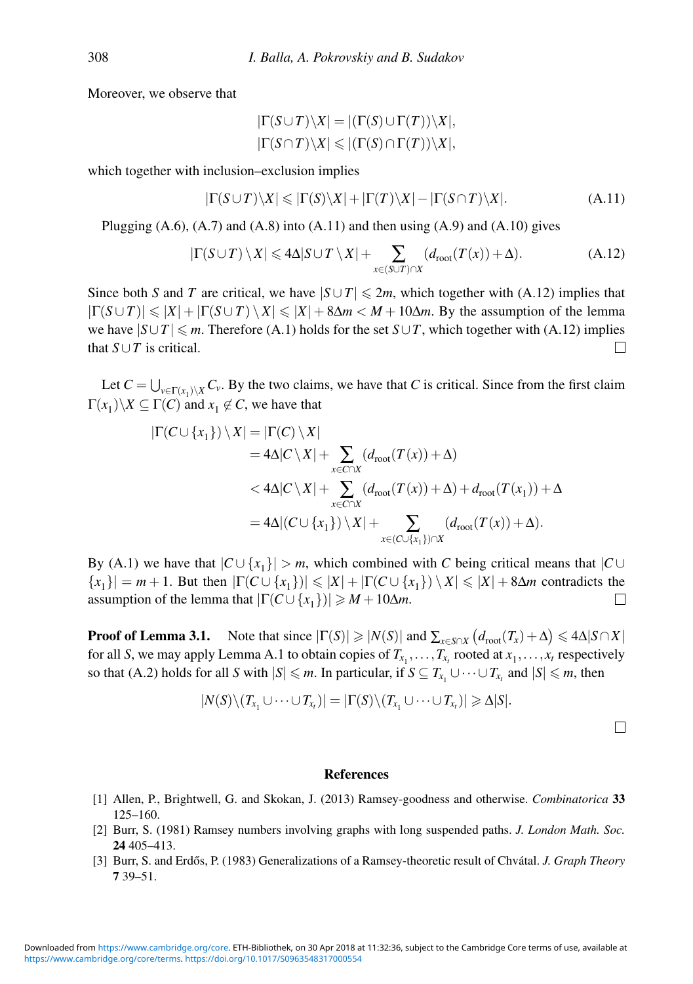Moreover, we observe that

$$
|\Gamma(S \cup T) \setminus X| = |(\Gamma(S) \cup \Gamma(T)) \setminus X|,
$$
  

$$
|\Gamma(S \cap T) \setminus X| \leq |(\Gamma(S) \cap \Gamma(T)) \setminus X|,
$$

which together with inclusion–exclusion implies

$$
|\Gamma(S \cup T) \setminus X| \le |\Gamma(S) \setminus X| + |\Gamma(T) \setminus X| - |\Gamma(S \cap T) \setminus X|.
$$
 (A.11)

Plugging  $(A.6)$ ,  $(A.7)$  and  $(A.8)$  into  $(A.11)$  and then using  $(A.9)$  and  $(A.10)$  gives

$$
|\Gamma(S \cup T) \setminus X| \leq 4\Delta |S \cup T \setminus X| + \sum_{x \in (S \cup T) \cap X} (d_{\text{root}}(T(x)) + \Delta). \tag{A.12}
$$

Since both *S* and *T* are critical, we have  $|S \cup T| \le 2m$ , which together with (A.12) implies that  $|\Gamma(S \cup T)| \leq |X| + |\Gamma(S \cup T) \setminus X| \leq |X| + 8\Delta m < M + 10\Delta m$ . By the assumption of the lemma we have  $|S \cup T| \le m$ . Therefore (A.1) holds for the set  $S \cup T$ , which together with (A.12) implies that  $S \cup T$  is critical. П

Let  $C = \bigcup_{v \in \Gamma(x_1) \setminus X} C_v$ . By the two claims, we have that *C* is critical. Since from the first claim  $\Gamma(x_1)\ X \subseteq \Gamma(C)$  and  $x_1 \notin C$ , we have that

$$
|\Gamma(C \cup \{x_1\}) \setminus X| = |\Gamma(C) \setminus X|
$$
  
\n
$$
= 4\Delta |C \setminus X| + \sum_{x \in C \cap X} (d_{\text{root}}(T(x)) + \Delta)
$$
  
\n
$$
< 4\Delta |C \setminus X| + \sum_{x \in C \cap X} (d_{\text{root}}(T(x)) + \Delta) + d_{\text{root}}(T(x_1)) + \Delta
$$
  
\n
$$
= 4\Delta |(C \cup \{x_1\}) \setminus X| + \sum_{x \in (C \cup \{x_1\}) \cap X} (d_{\text{root}}(T(x)) + \Delta).
$$

By (A.1) we have that  $|C \cup \{x_1\}| > m$ , which combined with *C* being critical means that  $|C \cup$  $\{x_1\}| = m + 1$ . But then  $|\Gamma(C \cup \{x_1\})| \le |X| + |\Gamma(C \cup \{x_1\}) \setminus X| \le |X| + 8\Delta m$  contradicts the assumption of the lemma that  $|\Gamma(C \cup \{x_1\})| \ge M + 10\Delta m$ .  $\Box$ 

**Proof of Lemma 3.1.** Note that since  $|\Gamma(S)| \ge |N(S)|$  and  $\sum_{x \in S \cap X} (d_{\text{root}}(T_x) + \Delta) \le 4\Delta |S \cap X|$ for all *S*, we may apply Lemma A.1 to obtain copies of  $T_{x_1}, \ldots, T_{x_t}$  rooted at  $x_1, \ldots, x_t$  respectively so that (A.2) holds for all *S* with  $|S| \le m$ . In particular, if  $S \subseteq T_{x_1} \cup \cdots \cup T_{x_t}$  and  $|S| \le m$ , then

$$
|N(S)\setminus (T_{x_1}\cup\cdots\cup T_{x_r})|=|\Gamma(S)\setminus (T_{x_1}\cup\cdots\cup T_{x_r})|\geqslant \Delta|S|.
$$

#### **References**

- [1] Allen, P., Brightwell, G. and Skokan, J. (2013) Ramsey-goodness and otherwise. *Combinatorica* **33** 125–160.
- [2] Burr, S. (1981) Ramsey numbers involving graphs with long suspended paths. *J. London Math. Soc.* **24** 405–413.
- [3] Burr, S. and Erdős, P. (1983) Generalizations of a Ramsey-theoretic result of Chvátal. *J. Graph Theory* **7** 39–51.